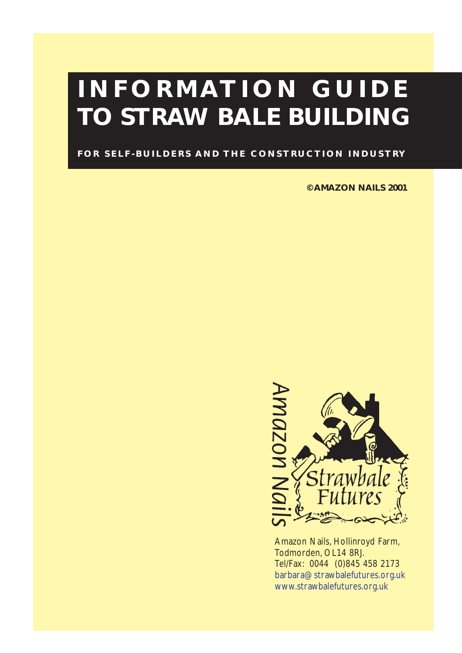# **INFORMATION GUIDE TO STRAW BALE BUILDING**

**FOR SELF-BUILDERS AND THE CONSTRUCTION INDUSTRY** 

**© AMAZON NAILS 2001**



Amazon Nails, Hollinroyd Farm, Todmorden, OL14 8RJ. Tel/Fax: 0044 (0)845 458 2173 [barbara@strawbalefutures.org.uk](mailto: barbara@strawbalefutures.org.uk)  [www.strawbalefutures.org.uk](http://www.strawbalefutures.org.uk)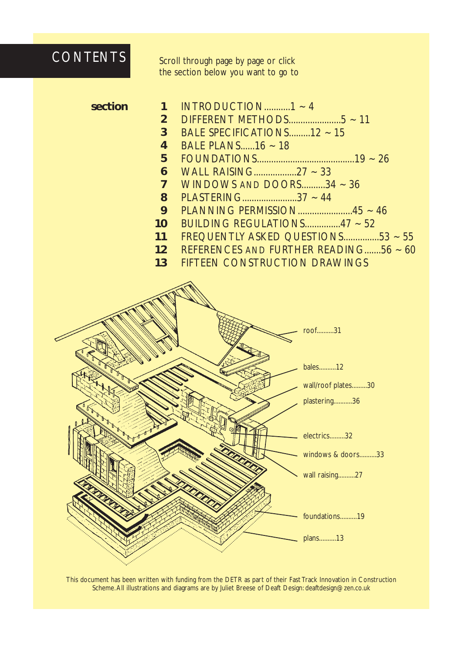# CONTENTS

Scroll through page by page or click the section below you want to go to

#### **section 1**

- [INTRODUCTION...........1 ~ 4](#page-2-0)
	- **2** [DIFFERENT METHODS......................5 ~ 11](#page-6-0)
	- **3** [BALE SPECIFICATIONS.........12 ~ 15](#page-13-0)
	- **4** [BALE PLANS......16 ~ 18](#page-17-0)
- **5** [FOUNDATIONS.........................................19 ~ 26](#page-20-0)
- **6** [WALL RAISING..................27 ~ 33](#page-28-0)
- **7** WINDOWS AND [DOORS..........34 ~ 36](#page-35-0)
- **8** [PLASTERING.......................37 ~ 44](#page-38-0)
- **9** [PLANNING PERMISSION.......................45 ~ 46](#page-46-0)
- **10** [BUILDING REGULATIONS...............47 ~ 52](#page-48-0)
- **11** [FREQUENTLY ASKED QUESTIONS...............53 ~ 55](#page-54-0)
- **12** REFERENCES AND [FURTHER READING.......56 ~ 60](#page-57-0)
- **13** [FIFTEEN CONSTRUCTION DRAWINGS](#page-62-0)



This document has been written with funding from the DETR as part of their Fast Track Innovation in Construction Scheme.All illustrations and diagrams are by Juliet Breese of Deaft Design: deaftdesign@zen.co.uk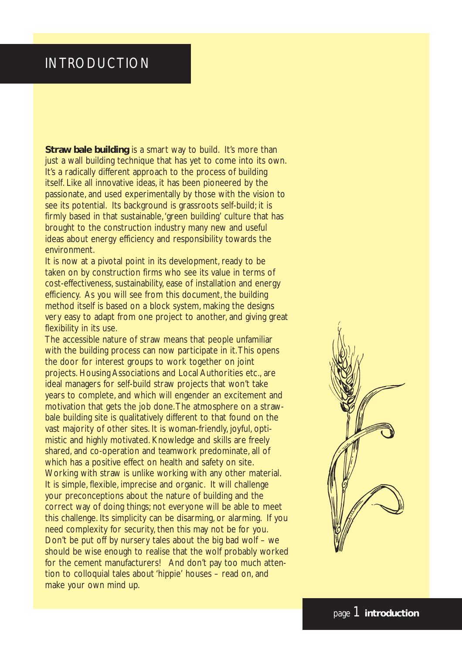# <span id="page-2-0"></span>INTRODUCTION

**Straw bale building** is a smart way to build. It's more than just a wall building technique that has yet to come into its own. It's a radically different approach to the process of building itself. Like all innovative ideas, it has been pioneered by the passionate, and used experimentally by those with the vision to see its potential. Its background is grassroots self-build; it is firmly based in that sustainable,'green building' culture that has brought to the construction industry many new and useful ideas about energy efficiency and responsibility towards the environment.

It is now at a pivotal point in its development, ready to be taken on by construction firms who see its value in terms of cost-effectiveness, sustainability, ease of installation and energy efficiency. As you will see from this document, the building method itself is based on a block system, making the designs very easy to adapt from one project to another, and giving great flexibility in its use.

The accessible nature of straw means that people unfamiliar with the building process can now participate in it. This opens the door for interest groups to work together on joint projects. Housing Associations and Local Authorities etc., are ideal managers for self-build straw projects that won't take years to complete, and which will engender an excitement and motivation that gets the job done.The atmosphere on a strawbale building site is qualitatively different to that found on the vast majority of other sites. It is woman-friendly, joyful, optimistic and highly motivated. Knowledge and skills are freely shared, and co-operation and teamwork predominate, all of which has a positive effect on health and safety on site. Working with straw is unlike working with any other material. It is simple, flexible, imprecise and organic. It will challenge your preconceptions about the nature of building and the correct way of doing things; not everyone will be able to meet this challenge. Its simplicity can be disarming, or alarming. If you need complexity for security, then this may not be for you. Don't be put off by nursery tales about the big bad wolf – we should be wise enough to realise that the wolf probably worked for the cement manufacturers! And don't pay too much attention to colloquial tales about 'hippie' houses – read on, and make your own mind up.

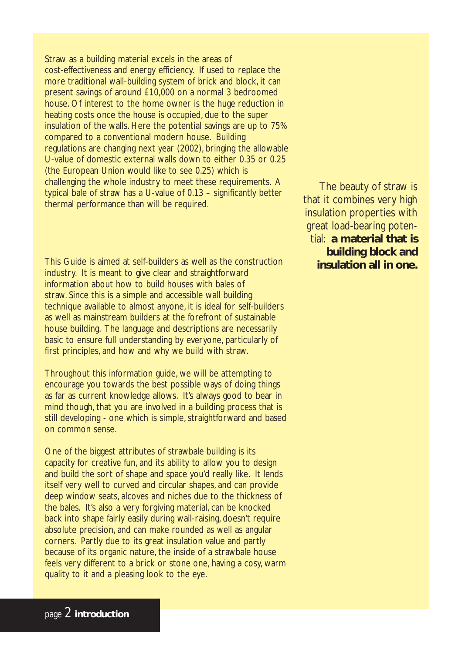Straw as a building material excels in the areas of cost-effectiveness and energy efficiency. If used to replace the more traditional wall-building system of brick and block, it can present savings of around £10,000 on a normal 3 bedroomed house. Of interest to the home owner is the huge reduction in heating costs once the house is occupied, due to the super insulation of the walls. Here the potential savings are up to 75% compared to a conventional modern house. Building regulations are changing next year (2002), bringing the allowable U-value of domestic external walls down to either 0.35 or 0.25 (the European Union would like to see 0.25) which is challenging the whole industry to meet these requirements. A typical bale of straw has a U-value of 0.13 – significantly better thermal performance than will be required.

This Guide is aimed at self-builders as well as the construction **insulation all in one.** industry. It is meant to give clear and straightforward information about how to build houses with bales of straw. Since this is a simple and accessible wall building technique available to almost anyone, it is ideal for self-builders as well as mainstream builders at the forefront of sustainable house building. The language and descriptions are necessarily basic to ensure full understanding by everyone, particularly of first principles, and how and why we build with straw.

Throughout this information guide, we will be attempting to encourage you towards the best possible ways of doing things as far as current knowledge allows. It's always good to bear in mind though, that you are involved in a building process that is still developing - one which is simple, straightforward and based on common sense.

One of the biggest attributes of strawbale building is its capacity for creative fun, and its ability to allow you to design and build the sort of shape and space you'd really like. It lends itself very well to curved and circular shapes, and can provide deep window seats, alcoves and niches due to the thickness of the bales. It's also a very forgiving material, can be knocked back into shape fairly easily during wall-raising, doesn't require absolute precision, and can make rounded as well as angular corners. Partly due to its great insulation value and partly because of its organic nature, the inside of a strawbale house feels very different to a brick or stone one, having a cosy, warm quality to it and a pleasing look to the eye.

The beauty of straw is that it combines very high insulation properties with great load-bearing potential: **a material that is building block and**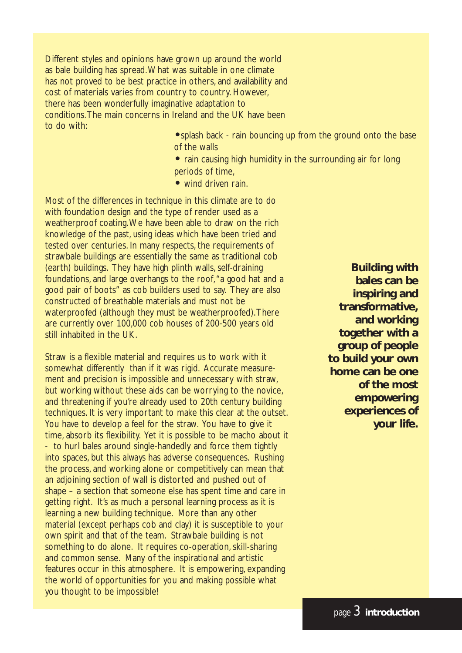Different styles and opinions have grown up around the world as bale building has spread.What was suitable in one climate has not proved to be best practice in others, and availability and cost of materials varies from country to country. However, there has been wonderfully imaginative adaptation to conditions.The main concerns in Ireland and the UK have been to do with: **•** splash back - rain bouncing up from the ground onto the base

of the walls

- rain causing high humidity in the surrounding air for long periods of time,
- wind driven rain.

Most of the differences in technique in this climate are to do with foundation design and the type of render used as a weatherproof coating.We have been able to draw on the rich knowledge of the past, using ideas which have been tried and tested over centuries. In many respects, the requirements of strawbale buildings are essentially the same as traditional cob (earth) buildings. They have high plinth walls, self-draining foundations, and large overhangs to the roof,"a good hat and a good pair of boots" as cob builders used to say. They are also constructed of breathable materials and must not be waterproofed (although they must be weatherproofed).There are currently over 100,000 cob houses of 200-500 years old still inhabited in the UK.

Straw is a flexible material and requires us to work with it somewhat differently than if it was rigid. Accurate measurement and precision is impossible and unnecessary with straw, but working without these aids can be worrying to the novice, and threatening if you're already used to 20th century building techniques. It is very important to make this clear at the outset. You have to develop a feel for the straw. You have to give it time, absorb its flexibility. Yet it *is* possible to be macho about it - to hurl bales around single-handedly and force them tightly into spaces, but this *always* has adverse consequences. Rushing the process, and working alone or competitively can mean that an adjoining section of wall is distorted and pushed out of shape – a section that someone else has spent time and care in getting right. It's as much a personal learning process as it is learning a new building technique. More than any other material (except perhaps cob and clay) it is susceptible to your own spirit and that of the team. Strawbale building is not something to do alone. It requires co-operation, skill-sharing and common sense. Many of the inspirational and artistic features occur in this atmosphere. It is empowering, expanding the world of opportunities for you and making possible what you thought to be impossible!

**Building with bales can be inspiring and transformative, and working together with a group of people to build your own home can be one of the most empowering experiences of your life.**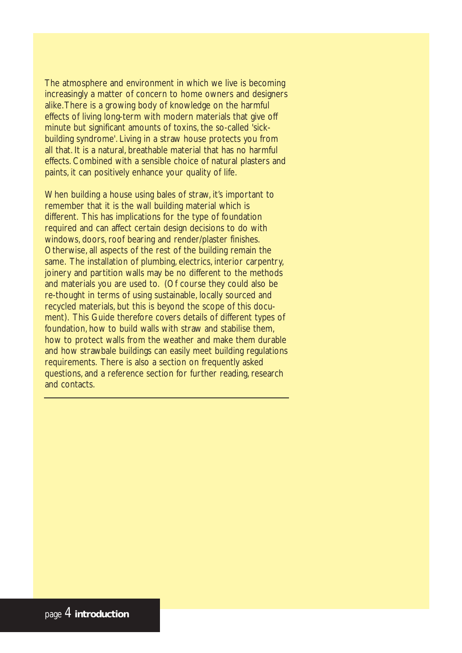The atmosphere and environment in which we live is becoming increasingly a matter of concern to home owners and designers alike.There is a growing body of knowledge on the harmful effects of living long-term with modern materials that give off minute but significant amounts of toxins, the so-called 'sickbuilding syndrome'. Living in a straw house protects you from all that. It is a natural, breathable material that has no harmful effects. Combined with a sensible choice of natural plasters and paints, it can positively enhance your quality of life.

When building a house using bales of straw, it's important to remember that it is the wall building material which is different. This has implications for the type of foundation required and can affect certain design decisions to do with windows, doors, roof bearing and render/plaster finishes. Otherwise, all aspects of the rest of the building remain the same. The installation of plumbing, electrics, interior carpentry, joinery and partition walls may be no different to the methods and materials you are used to. (Of course they could also be re-thought in terms of using sustainable, locally sourced and recycled materials, but this is beyond the scope of this document). This Guide therefore covers details of different types of foundation, how to build walls with straw and stabilise them, how to protect walls from the weather and make them durable and how strawbale buildings can easily meet building regulations requirements. There is also a section on frequently asked questions, and a reference section for further reading, research and contacts.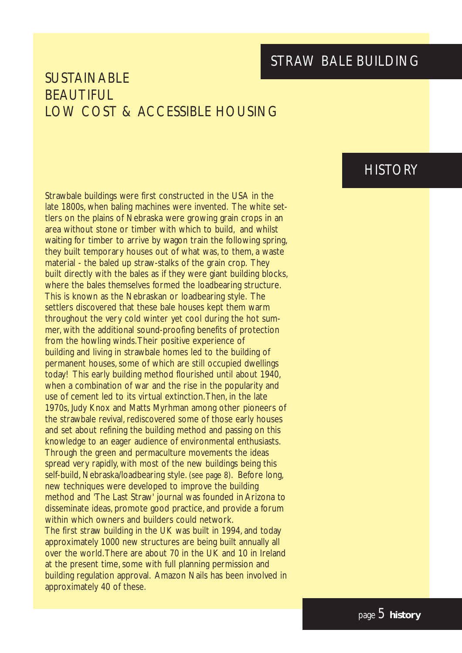## STRAW BALE BUILDING

# <span id="page-6-0"></span>SUSTAINABLE BEAUTIFUL LOW COST & ACCESSIBLE HOUSING

Strawbale buildings were first constructed in the USA in the late 1800s, when baling machines were invented. The white settlers on the plains of Nebraska were growing grain crops in an area without stone or timber with which to build, and whilst waiting for timber to arrive by wagon train the following spring, they built temporary houses out of what was, to them, a waste material - the baled up straw-stalks of the grain crop. They built directly with the bales as if they were giant building blocks, where the bales themselves formed the loadbearing structure. This is known as the Nebraskan or loadbearing style. The settlers discovered that these bale houses kept them warm throughout the very cold winter yet cool during the hot summer, with the additional sound-proofing benefits of protection from the howling winds.Their positive experience of building and living in strawbale homes led to the building of permanent houses, some of which are still occupied dwellings today! This early building method flourished until about 1940, when a combination of war and the rise in the popularity and use of cement led to its virtual extinction.Then, in the late 1970s, Judy Knox and Matts Myrhman among other pioneers of the strawbale revival, rediscovered some of those early houses and set about refining the building method and passing on this knowledge to an eager audience of environmental enthusiasts. Through the green and permaculture movements the ideas spread very rapidly, with most of the new buildings being this self-build, Nebraska/loadbearing style. (see page 8). Before long, new techniques were developed to improve the building method and 'The Last Straw' journal was founded in Arizona to disseminate ideas, promote good practice, and provide a forum within which owners and builders could network. The first straw building in the UK was built in 1994, and today approximately 1000 new structures are being built annually all over the world.There are about 70 in the UK and 10 in Ireland

at the present time, some with full planning permission and building regulation approval. Amazon Nails has been involved in approximately 40 of these.

## **HISTORY**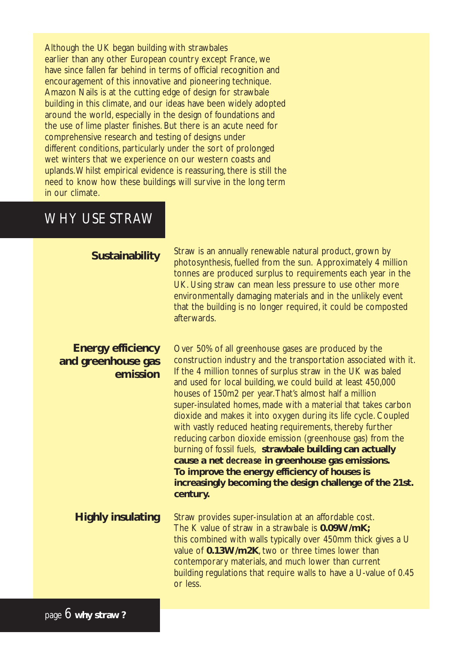Although the UK began building with strawbales earlier than any other European country except France, we have since fallen far behind in terms of official recognition and encouragement of this innovative and pioneering technique. Amazon Nails is at the cutting edge of design for strawbale building in this climate, and our ideas have been widely adopted around the world, especially in the design of foundations and the use of lime plaster finishes. But there is an acute need for comprehensive research and testing of designs under different conditions, particularly under the sort of prolonged wet winters that we experience on our western coasts and uplands.Whilst empirical evidence is reassuring, there is still the need to know how these buildings will survive in the long term in our climate.

## WHY USE STRAW

| <b>Sustainability</b>                                      | Straw is an annually renewable natural product, grown by<br>photosynthesis, fuelled from the sun. Approximately 4 million<br>tonnes are produced surplus to requirements each year in the<br>UK. Using straw can mean less pressure to use other more<br>environmentally damaging materials and in the unlikely event<br>that the building is no longer required, it could be composted<br>afterwards.                                                                                                                                                                                                                                                                                                                                                                                                                     |
|------------------------------------------------------------|----------------------------------------------------------------------------------------------------------------------------------------------------------------------------------------------------------------------------------------------------------------------------------------------------------------------------------------------------------------------------------------------------------------------------------------------------------------------------------------------------------------------------------------------------------------------------------------------------------------------------------------------------------------------------------------------------------------------------------------------------------------------------------------------------------------------------|
| <b>Energy efficiency</b><br>and greenhouse gas<br>emission | Over 50% of all greenhouse gases are produced by the<br>construction industry and the transportation associated with it.<br>If the 4 million tonnes of surplus straw in the UK was baled<br>and used for local building, we could build at least 450,000<br>houses of 150m2 per year. That's almost half a million<br>super-insulated homes, made with a material that takes carbon<br>dioxide and makes it into oxygen during its life cycle. Coupled<br>with vastly reduced heating requirements, thereby further<br>reducing carbon dioxide emission (greenhouse gas) from the<br>burning of fossil fuels, strawbale building can actually<br>cause a net decrease in greenhouse gas emissions.<br>To improve the energy efficiency of houses is<br>increasingly becoming the design challenge of the 21st.<br>century. |
| <b>Highly insulating</b>                                   | Straw provides super-insulation at an affordable cost.<br>The K value of straw in a strawbale is 0.09W/mK;<br>this combined with walls typically over 450mm thick gives a U<br>value of 0.13W/m2K, two or three times lower than<br>contemporary materials, and much lower than current<br>building regulations that require walls to have a U-value of 0.45<br>or less.                                                                                                                                                                                                                                                                                                                                                                                                                                                   |

page 6 **why straw ?**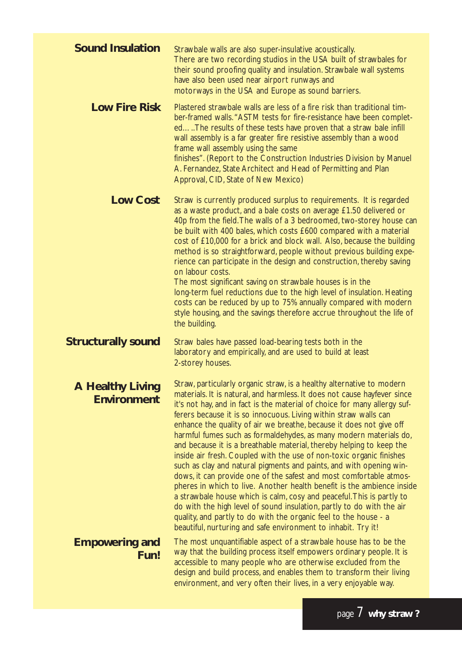| <b>Sound Insulation</b>                       | Strawbale walls are also super-insulative acoustically.<br>There are two recording studios in the USA built of strawbales for<br>their sound proofing quality and insulation. Strawbale wall systems<br>have also been used near airport runways and<br>motorways in the USA and Europe as sound barriers.                                                                                                                                                                                                                                                                                                                                                                                                                                                                                                                                                                                                                                                                                                                                                                                                   |
|-----------------------------------------------|--------------------------------------------------------------------------------------------------------------------------------------------------------------------------------------------------------------------------------------------------------------------------------------------------------------------------------------------------------------------------------------------------------------------------------------------------------------------------------------------------------------------------------------------------------------------------------------------------------------------------------------------------------------------------------------------------------------------------------------------------------------------------------------------------------------------------------------------------------------------------------------------------------------------------------------------------------------------------------------------------------------------------------------------------------------------------------------------------------------|
| <b>Low Fire Risk</b>                          | Plastered strawbale walls are less of a fire risk than traditional tim-<br>ber-framed walls. "ASTM tests for fire-resistance have been complet-<br>edThe results of these tests have proven that a straw bale infill<br>wall assembly is a far greater fire resistive assembly than a wood<br>frame wall assembly using the same<br>finishes". (Report to the Construction Industries Division by Manuel<br>A. Fernandez, State Architect and Head of Permitting and Plan<br>Approval, CID, State of New Mexico)                                                                                                                                                                                                                                                                                                                                                                                                                                                                                                                                                                                             |
| <b>Low Cost</b>                               | Straw is currently produced surplus to requirements. It is regarded<br>as a waste product, and a bale costs on average £1.50 delivered or<br>40p from the field. The walls of a 3 bedroomed, two-storey house can<br>be built with 400 bales, which costs £600 compared with a material<br>cost of £10,000 for a brick and block wall. Also, because the building<br>method is so straightforward, people without previous building expe-<br>rience can participate in the design and construction, thereby saving<br>on labour costs.<br>The most significant saving on strawbale houses is in the<br>long-term fuel reductions due to the high level of insulation. Heating<br>costs can be reduced by up to 75% annually compared with modern<br>style housing, and the savings therefore accrue throughout the life of<br>the building.                                                                                                                                                                                                                                                                  |
| <b>Structurally sound</b>                     | Straw bales have passed load-bearing tests both in the<br>laboratory and empirically, and are used to build at least<br>2-storey houses.                                                                                                                                                                                                                                                                                                                                                                                                                                                                                                                                                                                                                                                                                                                                                                                                                                                                                                                                                                     |
| <b>A Healthy Living</b><br><b>Environment</b> | Straw, particularly organic straw, is a healthy alternative to modern<br>materials. It is natural, and harmless. It does not cause hayfever since<br>it's not hay, and in fact is the material of choice for many allergy suf-<br>ferers because it is so innocuous. Living within straw walls can<br>enhance the quality of air we breathe, because it does not give off<br>harmful fumes such as formaldehydes, as many modern materials do,<br>and because it is a breathable material, thereby helping to keep the<br>inside air fresh. Coupled with the use of non-toxic organic finishes<br>such as clay and natural pigments and paints, and with opening win-<br>dows, it can provide one of the safest and most comfortable atmos-<br>pheres in which to live. Another health benefit is the ambience inside<br>a strawbale house which is calm, cosy and peaceful. This is partly to<br>do with the high level of sound insulation, partly to do with the air<br>quality, and partly to do with the organic feel to the house - a<br>beautiful, nurturing and safe environment to inhabit. Try it! |
| <b>Empowering and</b><br>Fun!                 | The most unquantifiable aspect of a strawbale house has to be the<br>way that the building process itself empowers ordinary people. It is<br>accessible to many people who are otherwise excluded from the<br>design and build process, and enables them to transform their living<br>environment, and very often their lives, in a very enjoyable way.                                                                                                                                                                                                                                                                                                                                                                                                                                                                                                                                                                                                                                                                                                                                                      |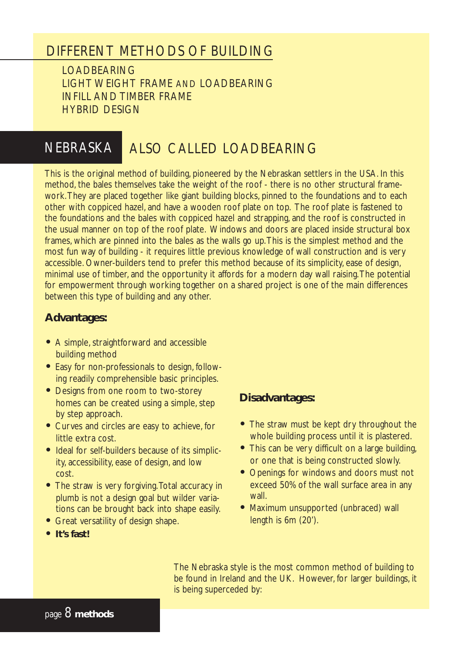# DIFFERENT METHODS OF BUILDING

LOADBEARING LIGHT WEIGHT FRAME AND LOADBEARING INFILL AND TIMBER FRAME HYBRID DESIGN

#### ALSO CALLED LOADBEARING NEBRASKA

This is the original method of building, pioneered by the Nebraskan settlers in the USA. In this method, the bales themselves take the weight of the roof - there is no other structural framework.They are placed together like giant building blocks, pinned to the foundations and to each other with coppiced hazel, and have a wooden roof plate on top. The roof plate is fastened to the foundations and the bales with coppiced hazel and strapping, and the roof is constructed in the usual manner on top of the roof plate. Windows and doors are placed inside structural box frames, which are pinned into the bales as the walls go up.This is the simplest method and the most fun way of building - it requires little previous knowledge of wall construction and is very accessible. Owner-builders tend to prefer this method because of its simplicity, ease of design, minimal use of timber, and the opportunity it affords for a modern day wall raising.The potential for empowerment through working together on a shared project is one of the main differences between this type of building and any other.

#### **Advantages:**

- A simple, straightforward and accessible building method
- Easy for non-professionals to design, following readily comprehensible basic principles.
- Designs from one room to two-storey homes can be created using a simple, step by step approach.
- Curves and circles are easy to achieve, for little extra cost.
- Ideal for self-builders because of its simplicity, accessibility, ease of design, and low cost.
- The straw is very forgiving.Total accuracy in plumb is not a design goal but wilder variations can be brought back into shape easily.
- Great versatility of design shape.

### **Disadvantages:**

- The straw must be kept dry throughout the whole building process until it is plastered.
- This can be very difficult on a large building, or one that is being constructed slowly.
- Openings for windows and doors must not exceed 50% of the wall surface area in any wall.
- Maximum unsupported (unbraced) wall length is 6m (20').

**• It's fast!**

The Nebraska style is the most common method of building to be found in Ireland and the UK. However, for larger buildings, it is being superceded by: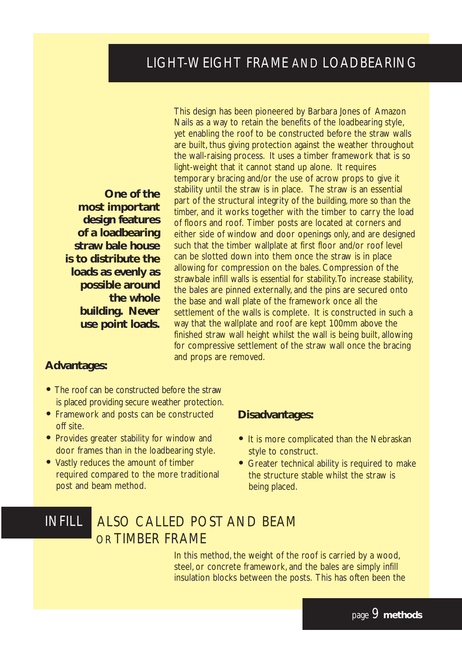**One of the most important design features of a loadbearing straw bale house is to distribute the loads as evenly as possible around the whole building. Never use point loads.**

This design has been pioneered by Barbara Jones of Amazon Nails as a way to retain the benefits of the loadbearing style, yet enabling the roof to be constructed before the straw walls are built, thus giving protection against the weather throughout the wall-raising process. It uses a timber framework that is so light-weight that it cannot stand up alone. It requires temporary bracing and/or the use of acrow props to give it stability until the straw is in place. The straw is an essential part of the structural integrity of the building, *more so than the timber,* and it works together with the timber to carry the load of floors and roof. Timber posts are located at corners and either side of window and door openings *only*, and are designed such that the timber wallplate at first floor and/or roof level can be slotted down into them once the straw is in place allowing for compression on the bales. Compression of the strawbale infill walls is *essential* for stability.To increase stability, the bales are pinned externally, and the pins are secured onto the base and wall plate of the framework once all the settlement of the walls is complete. It is constructed in such a way that the wallplate and roof are kept 100mm above the finished straw wall height whilst the wall is being built, allowing for compressive settlement of the straw wall once the bracing and props are removed.

#### **Advantages:**

- The roof can be constructed before the straw is placed providing secure weather protection.
- Framework and posts can be constructed off site.
- Provides greater stability for window and door frames than in the loadbearing style.
- Vastly reduces the amount of timber required compared to the more traditional post and beam method.

#### **Disadvantages:**

- It is more complicated than the Nebraskan style to construct.
- Greater technical ability is required to make the structure stable whilst the straw is being placed.

page 9 **methods**

## INFILL

# ALSO CALLED POST AND BEAM OR TIMBER FRAME

In this method, the weight of the roof is carried by a wood, steel, or concrete framework, and the bales are simply infill insulation blocks between the posts. This has often been the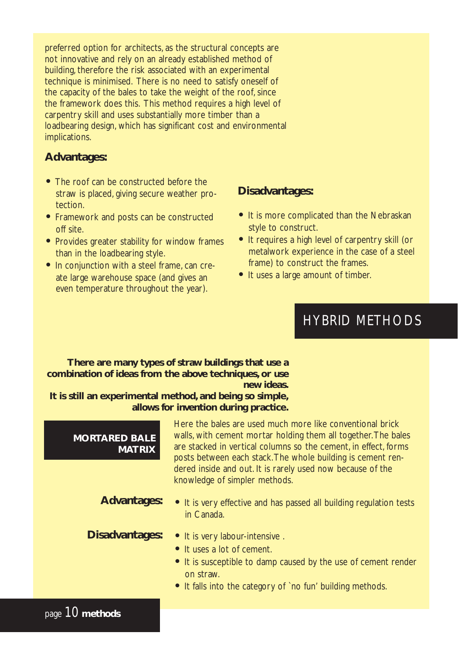preferred option for architects, as the structural concepts are not innovative and rely on an already established method of building, therefore the risk associated with an experimental technique is minimised. There is no need to satisfy oneself of the capacity of the bales to take the weight of the roof, since the framework does this. This method requires a high level of carpentry skill and uses substantially more timber than a loadbearing design, which has significant cost and environmental implications.

#### **Advantages:**

page 10 **methods**

- The roof can be constructed before the straw is placed, giving secure weather protection.
- Framework and posts can be constructed off site.
- Provides greater stability for window frames than in the loadbearing style.
- In conjunction with a steel frame, can create large warehouse space (and gives an even temperature throughout the year).

#### **Disadvantages:**

- It is more complicated than the Nebraskan style to construct.
- It requires a high level of carpentry skill (or metalwork experience in the case of a steel frame) to construct the frames.
- It uses a large amount of timber.

# HYBRID METHODS

**There are many types of straw buildings that use a combination of ideas from the above techniques, or use new ideas.**

**It is still an experimental method, and being so simple, allows for invention during practice.**

#### **MORTARED BALE MATRIX**  Here the bales are used much more like conventional brick walls, with cement mortar holding them all together.The bales are stacked in vertical columns so the cement, in effect, forms posts between each stack.The whole building is cement rendered inside and out. It is rarely used now because of the knowledge of simpler methods. **Advantages: Disadvantages: •** It is very effective and has passed all building regulation tests in Canada. **•** It is very labour-intensive . **•** It uses a lot of cement. **•** It is susceptible to damp caused by the use of cement render on straw. **•** It falls into the category of `no fun' building methods.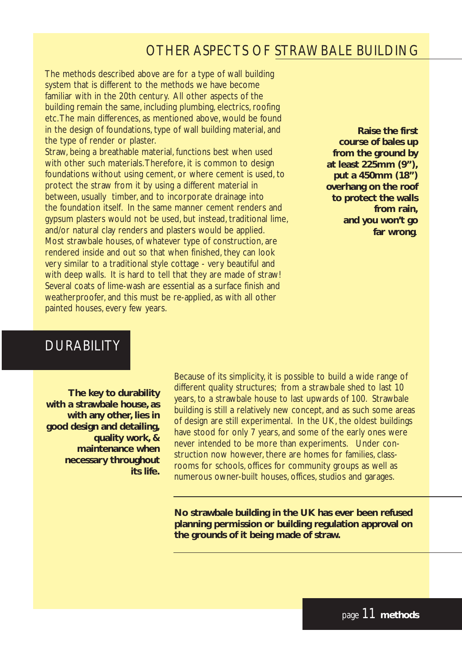## OTHER ASPECTS OF STRAWBALE BUILDING

The methods described above are for a type of wall building system that is different to the methods we have become familiar with in the 20th century. All other aspects of the building remain the same, including plumbing, electrics, roofing etc.The main differences, as mentioned above, would be found in the design of foundations, type of wall building material, and the type of render or plaster.

Straw, being a breathable material, functions best when used with other such materials. Therefore, it is common to design foundations without using cement, or where cement is used, to protect the straw from it by using a different material in between, usually timber, and to incorporate drainage into the foundation itself. In the same manner cement renders and gypsum plasters would not be used, but instead, traditional lime, and/or natural clay renders and plasters would be applied. Most strawbale houses, of whatever type of construction, are rendered inside and out so that when finished, they can look very similar to a traditional style cottage - very beautiful and with deep walls. It is hard to tell that they are made of straw! Several coats of lime-wash are essential as a surface finish and weatherproofer, and this must be re-applied, as with all other painted houses, every few years.

**Raise the first course of bales up from the ground by at least 225mm (9"), put a 450mm (18") overhang on the roof to protect the walls from rain, and you won't go far wrong**.

## **DURABILITY**

**The key to durability with a strawbale house, as with any other, lies in good design and detailing, quality work, & maintenance when necessary throughout its life.**

Because of its simplicity, it is possible to build a wide range of different quality structures; from a strawbale shed to last 10 years, to a strawbale house to last upwards of 100. Strawbale building is still a relatively new concept, and as such some areas of design are still experimental. In the UK, the oldest buildings have stood for only 7 years, and some of the early ones were never intended to be more than experiments. Under construction now however, there are homes for families, classrooms for schools, offices for community groups as well as numerous owner-built houses, offices, studios and garages.

**No strawbale building in the UK has ever been refused planning permission or building regulation approval on the grounds of it being made of straw.**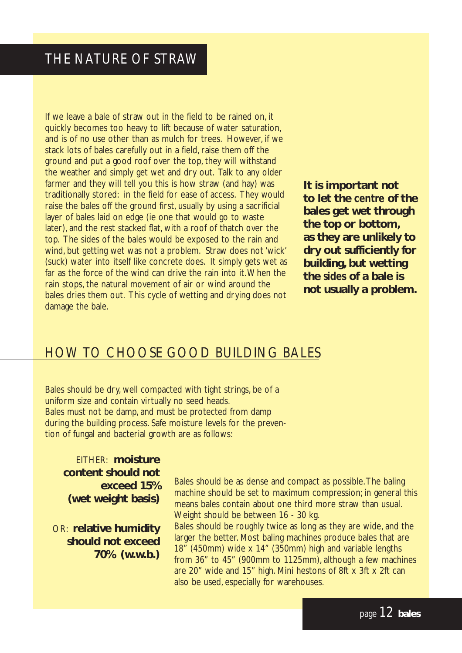# <span id="page-13-0"></span>THE NATURE OF STRAW

If we leave a bale of straw out in the field to be rained on, it quickly becomes too heavy to lift because of water saturation, and is of no use other than as mulch for trees. However, if we stack lots of bales carefully out in a field, raise them off the ground and put a good roof over the top, they will withstand the weather and simply get wet and dry out. Talk to any older farmer and they will tell you this is how straw (and hay) was traditionally stored: in the field for ease of access. They would raise the bales off the ground first, usually by using a sacrificial layer of bales laid on edge (ie one that would go to waste later), and the rest stacked flat, with a roof of thatch over the top. The sides of the bales would be exposed to the rain and wind, but getting wet was not a problem. Straw does not 'wick' (suck) water into itself like concrete does. It simply gets wet as far as the force of the wind can drive the rain into it.When the rain stops, the natural movement of air or wind around the bales dries them out. This cycle of wetting and drying does not damage the bale.

**It is important not to let the** *centre* **of the bales get wet through the top or bottom, as they are unlikely to dry out sufficiently for building, but wetting the** *sides* **of a bale is not usually a problem.**

## HOW TO CHOOSE GOOD BUILDING BALES

Bales should be dry, well compacted with tight strings, be of a uniform size and contain virtually no seed heads. Bales must not be damp, and must be protected from damp during the building process. Safe moisture levels for the prevention of fungal and bacterial growth are as follows:

EITHER: **moisture content should not exceed 15% (wet weight basis)**

OR: **relative humidity should not exceed 70% (w.w.b.)** Bales should be as dense and compact as possible.The baling machine should be set to maximum compression; in general this means bales contain about one third more straw than usual. Weight should be between 16 - 30 kg. Bales should be roughly twice as long as they are wide, and the

larger the better. Most baling machines produce bales that are 18" (450mm) wide x 14" (350mm) high and variable lengths from 36" to 45" (900mm to 1125mm), although a few machines are 20" wide and 15" high. Mini hestons of 8ft x 3ft x 2ft can also be used, especially for warehouses.

page 12 **bales**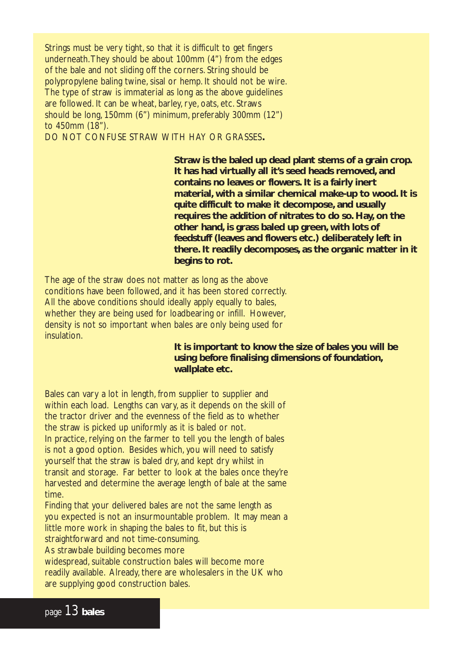Strings must be very tight, so that it is difficult to get fingers underneath.They should be about 100mm (4") from the edges of the bale and not sliding off the corners. String should be polypropylene baling twine, sisal or hemp. It should not be wire. The type of straw is immaterial as long as the above guidelines are followed. It can be wheat, barley, rye, oats, etc. Straws should be long, 150mm (6") minimum, preferably 300mm (12") to 450mm (18").

DO NOT CONFUSE STRAW WITH HAY OR GRASSES**.**

**Straw is the baled up dead plant stems of a grain crop. It has had virtually all it's seed heads removed, and contains no leaves or flowers. It is a fairly inert material, with a similar chemical make-up to wood. It is quite difficult to make it decompose, and usually requires the addition of nitrates to do so. Hay, on the other hand, is grass baled up green, with lots of feedstuff (leaves and flowers etc.) deliberately left in there. It readily decomposes, as the organic matter in it begins to rot.**

The age of the straw does not matter as long as the above conditions have been followed, and it has been stored correctly. All the above conditions should ideally apply equally to bales, whether they are being used for loadbearing or infill. However, density is not so important when bales are only being used for insulation.

> **It is important to know the size of bales you will be using before finalising dimensions of foundation, wallplate etc.**

Bales can vary a lot in length, from supplier to supplier and within each load. Lengths can vary, as it depends on the skill of the tractor driver and the evenness of the field as to whether the straw is picked up uniformly as it is baled or not. In practice, relying on the farmer to tell you the length of bales is not a good option. Besides which, you will need to satisfy yourself that the straw is baled dry, and kept dry whilst in transit and storage. Far better to look at the bales once they're harvested and determine the average length of bale at the same time.

Finding that your delivered bales are not the same length as you expected is not an insurmountable problem. It may mean a little more work in shaping the bales to fit, but this is straightforward and not time-consuming.

As strawbale building becomes more

widespread, suitable construction bales will become more

readily available. Already, there are wholesalers in the UK who are supplying good construction bales.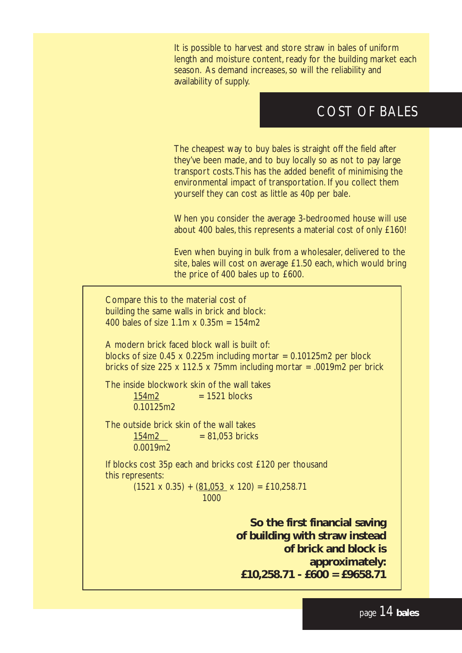It is possible to harvest and store straw in bales of uniform length and moisture content, ready for the building market each season. As demand increases, so will the reliability and availability of supply.

## COST OF BALES

The cheapest way to buy bales is straight off the field after they've been made, and to buy locally so as not to pay large transport costs.This has the added benefit of minimising the environmental impact of transportation. If you collect them yourself they can cost as little as 40p per bale.

When you consider the average 3-bedroomed house will use about 400 bales, this represents a material cost of only £160!

Even when buying in bulk from a wholesaler, delivered to the site, bales will cost on average £1.50 each, which would bring the price of 400 bales up to £600.

Compare this to the material cost of building the same walls in brick and block: 400 bales of size 1.1m x 0.35m = 154m2

A modern brick faced block wall is built of: blocks of size  $0.45 \times 0.225$ m including mortar = 0.10125m2 per block bricks of size 225 x 112.5 x 75mm including mortar = .0019m2 per brick

The inside blockwork skin of the wall takes  $154m2 = 1521$  blocks 0.10125m2

The outside brick skin of the wall takes  $154m2 = 81,053$  bricks 0.0019m2

If blocks cost 35p each and bricks cost £120 per thousand this represents:

 $(1521 \times 0.35) + (81,053 \times 120) = \text{\pounds}10,258.71$ 1000

> **So the first financial saving of building with straw instead of brick and block is approximately: £10,258.71 - £600 = £9658.71**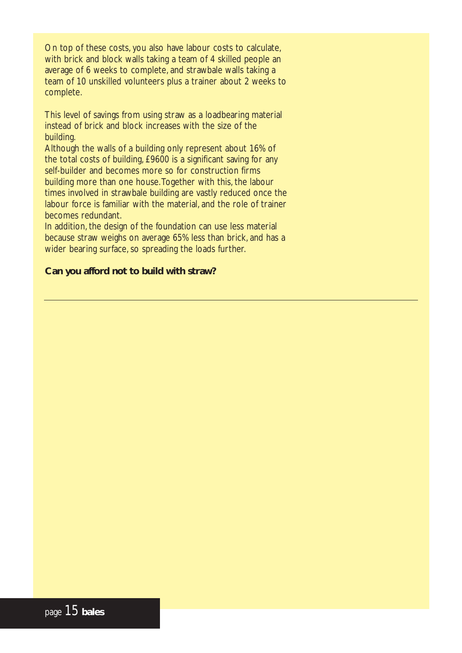On top of these costs, you also have labour costs to calculate, with brick and block walls taking a team of 4 skilled people an average of 6 weeks to complete, and strawbale walls taking a team of 10 unskilled volunteers plus a trainer about 2 weeks to complete.

This level of savings from using straw as a loadbearing material instead of brick and block increases with the size of the building.

Although the walls of a building only represent about 16% of the total costs of building, £9600 is a significant saving for any self-builder and becomes more so for construction firms building more than one house.Together with this, the labour times involved in strawbale building are vastly reduced once the labour force is familiar with the material, and the role of trainer becomes redundant.

In addition, the design of the foundation can use less material because straw weighs on average 65% less than brick, and has a wider bearing surface, so spreading the loads further.

#### **Can you afford not to build with straw?**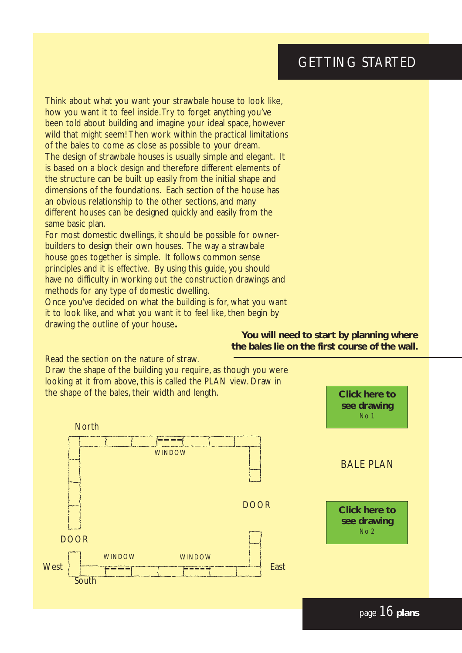## GETTING STARTED

<span id="page-17-0"></span>Think about what you want your strawbale house to look like, how you want it to feel inside.Try to forget anything you've been told about building and imagine your ideal space, however wild that might seem! Then work within the practical limitations of the bales to come as close as possible to your dream. The design of strawbale houses is usually simple and elegant. It is based on a block design and therefore different elements of the structure can be built up easily from the initial shape and dimensions of the foundations. Each section of the house has an obvious relationship to the other sections, and many different houses can be designed quickly and easily from the same basic plan.

For most domestic dwellings, it should be possible for ownerbuilders to design their own houses. The way a strawbale house goes together is simple. It follows common sense principles and it is effective. By using this guide, you should have no difficulty in working out the construction drawings and methods for any type of domestic dwelling.

Once you've decided on what the building is for, what you want it to look like, and what you want it to feel like, then begin by drawing the outline of your house**.**

#### **You will need to start by planning where the bales lie on the first course of the wall.**

**[Click here to](#page-63-0)** 

Read the section on the nature of straw. Draw the shape of the building you require, as though you were looking at it from above, this is called the PLAN view. Draw in the shape of the bales, their width and length.



page 16 **plans**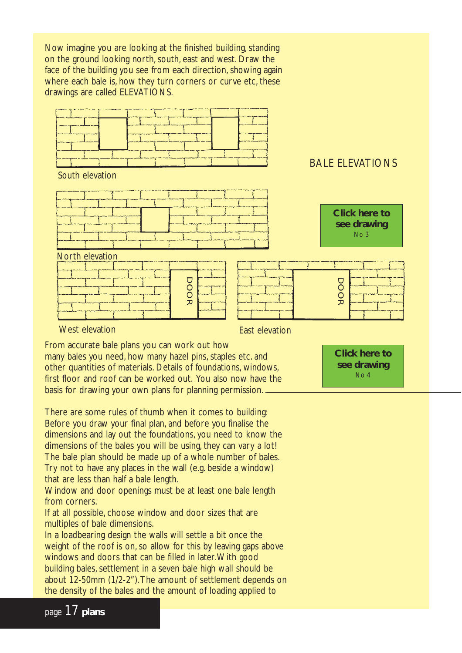Now imagine you are looking at the finished building, standing on the ground looking north, south, east and west. Draw the face of the building you see from each direction, showing again where each bale is, how they turn corners or curve etc, these drawings are called ELEVATIONS. South elevation DOOR DOOR BALE ELEVATIONS North elevation **Click here to see drawing** No 3

West elevation East elevation

From accurate bale plans you can work out how

many bales you need, how many hazel pins, staples etc. and other quantities of materials. Details of foundations, windows, first floor and roof can be worked out. You also now have the basis for drawing your own plans for planning permission.

There are some rules of thumb when it comes to building: Before you draw your final plan, and before you finalise the dimensions and lay out the foundations, you need to know the dimensions of the bales you will be using, they can vary a lot! The bale plan should be made up of a whole number of bales. Try not to have any places in the wall (e.g. beside a window) that are less than half a bale length.

Window and door openings must be at least one bale length from corners.

If at all possible, choose window and door sizes that are multiples of bale dimensions.

In a loadbearing design the walls will settle a bit once the weight of the roof is on, so allow for this by leaving gaps above windows and doors that can be filled in later.With good building bales, settlement in a seven bale high wall should be about 12-50mm (1/2-2").The amount of settlement depends on the density of the bales and the amount of loading applied to

**[Click here to](#page-66-0)  see drawing** No 4

page 17 **plans**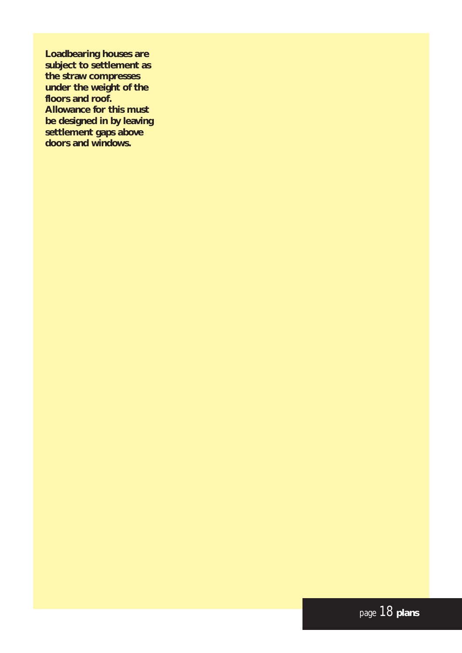**Loadbearing houses are subject to settlement as the straw compresses under the weight of the floors and roof. Allowance for this must be designed in by leaving settlement gaps above doors and windows.**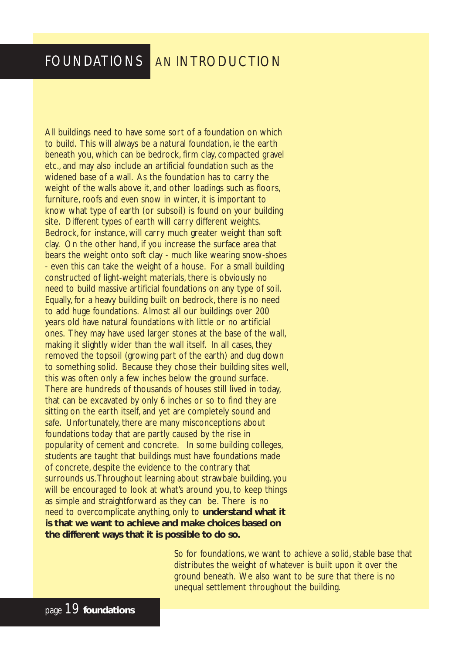#### <span id="page-20-0"></span>AN INTRODUCTION FOUNDATIONS

All buildings need to have some sort of a foundation on which to build. This will always be a natural foundation, ie the earth beneath you, which can be bedrock, firm clay, compacted gravel etc., and may also include an artificial foundation such as the widened base of a wall. As the foundation has to carry the weight of the walls above it, and other loadings such as floors, furniture, roofs and even snow in winter, it is important to know what type of earth (or subsoil) is found on your building site. Different types of earth will carry different weights. Bedrock, for instance, will carry much greater weight than soft clay. On the other hand, if you increase the surface area that bears the weight onto soft clay - much like wearing snow-shoes - even this can take the weight of a house. For a small building constructed of light-weight materials, there is obviously no need to build massive artificial foundations on any type of soil. Equally, for a heavy building built on bedrock, there is no need to add huge foundations. Almost all our buildings over 200 years old have natural foundations with little or no artificial ones. They may have used larger stones at the base of the wall, making it slightly wider than the wall itself. In all cases, they removed the topsoil (growing part of the earth) and dug down to something solid. Because they chose their building sites well, this was often only a few inches below the ground surface. There are hundreds of thousands of houses still lived in today, that can be excavated by only 6 inches or so to find they are sitting on the earth itself, and yet are completely sound and safe. Unfortunately, there are many misconceptions about foundations today that are partly caused by the rise in popularity of cement and concrete. In some building colleges, students are taught that buildings *must* have foundations made of concrete, despite the evidence to the contrary that surrounds us.Throughout learning about strawbale building, you will be encouraged to look at what's around you, to keep things as simple and straightforward as they can be. There is no need to overcomplicate anything, only to **understand what it is that we want to achieve and make choices based on the different ways that it is possible to do so.**

> So for foundations, we want to achieve a solid, stable base that distributes the weight of whatever is built upon it over the ground beneath. We also want to be sure that there is no unequal settlement throughout the building.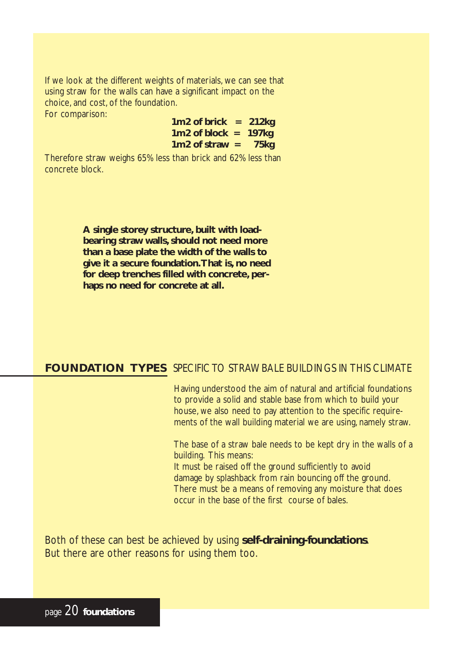If we look at the different weights of materials, we can see that using straw for the walls can have a significant impact on the choice, and cost, of the foundation.

For comparison: **1m2 of brick = 212kg 1m2 of block = 197kg 1m2 of straw = 75kg**

Therefore straw weighs 65% less than brick and 62% less than concrete block.

> **A single storey structure, built with loadbearing straw walls, should not need more than a base plate the width of the walls to give it a secure foundation.That is, no need for deep trenches filled with concrete, perhaps no need for concrete at all.**

#### **FOUNDATION TYPES** SPECIFIC TO STRAWBALE BUILDINGS IN THIS CLIMATE

Having understood the aim of natural and artificial foundations to provide a solid and stable base from which to build your house, we also need to pay attention to the specific requirements of the wall building material we are using, namely straw.

The base of a straw bale needs to be kept dry in the walls of a building. This means:

It must be raised off the ground sufficiently to avoid damage by splashback from rain bouncing off the ground. There must be a means of removing any moisture that does occur in the base of the first course of bales.

Both of these can best be achieved by using **self-draining-foundations**. But there are other reasons for using them too.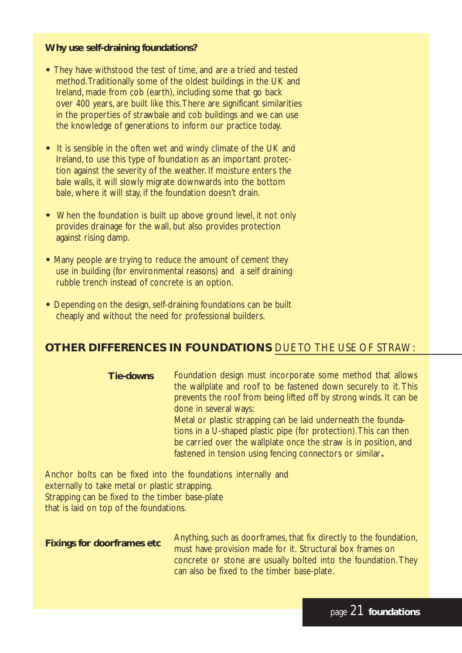#### **Why use self-draining foundations?**

- They have withstood the test of time, and are a tried and tested method.Traditionally some of the oldest buildings in the UK and Ireland, made from cob (earth), including some that go back over 400 years, are built like this.There are significant similarities in the properties of strawbale and cob buildings and we can use the knowledge of generations to inform our practice today.
- It is sensible in the often wet and windy climate of the UK and Ireland, to use this type of foundation as an important protection against the severity of the weather. If moisture enters the bale walls, it will slowly migrate downwards into the bottom bale, where it will stay, if the foundation doesn't drain.
- When the foundation is built up above ground level, it not only provides drainage for the wall, but also provides protection against rising damp.
- Many people are trying to reduce the amount of cement they use in building (for environmental reasons) and a self draining rubble trench instead of concrete is an option.
- Depending on the design, self-draining foundations can be built cheaply and without the need for professional builders.

### **OTHER DIFFERENCES IN FOUNDATIONS** DUE TO THE USE OF STRAW:

**Tie-downs** Foundation design must incorporate some method that allows the wallplate and roof to be fastened down securely to it. This prevents the roof from being lifted off by strong winds. It can be done in several ways: Metal or plastic strapping can be laid underneath the foundations in a U-shaped plastic pipe (for protection).This can then be carried over the wallplate once the straw is in position, and fastened in tension using fencing connectors or similar**.**

Anchor bolts can be fixed into the foundations internally and externally to take metal or plastic strapping. Strapping can be fixed to the timber base-plate that is laid on top of the foundations.

**Fixings for doorframes etc** Anything, such as doorframes, that fix directly to the foundation, must have provision made for it. Structural box frames on concrete or stone are usually bolted into the foundation. They can also be fixed to the timber base-plate.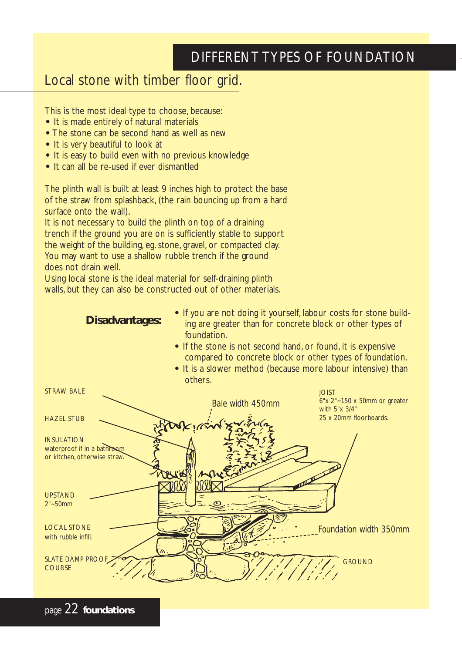# DIFFERENT TYPES OF FOUNDATION

## Local stone with timber floor grid.

This is the most ideal type to choose, because:

- It is made entirely of natural materials
- The stone can be second hand as well as new
- It is very beautiful to look at
- It is easy to build even with no previous knowledge
- It can all be re-used if ever dismantled

The plinth wall is built at least 9 inches high to protect the base of the straw from splashback, (the rain bouncing up from a hard surface onto the wall).

It is not necessary to build the plinth on top of a draining trench if the ground you are on is sufficiently stable to support the weight of the building, eg. stone, gravel, or compacted clay. You may want to use a shallow rubble trench if the ground does not drain well.

Using local stone is the ideal material for self-draining plinth walls, but they can also be constructed out of other materials.



page 22 **foundations**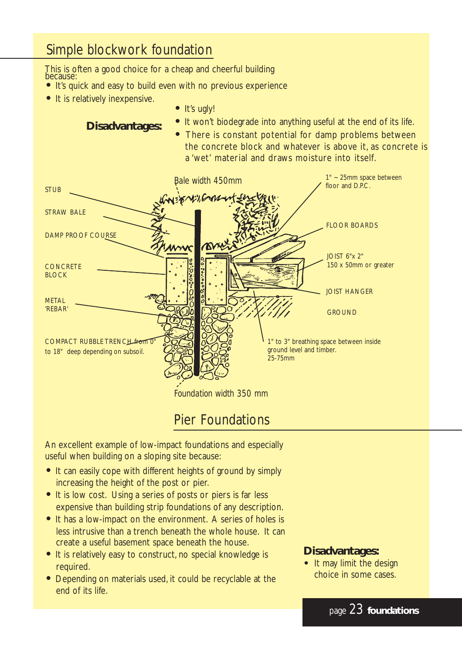# Simple blockwork foundation

**Disadvantages:**

This is often a good choice for a cheap and cheerful building because:

- It's quick and easy to build even with no previous experience
- It is relatively inexpensive.
- It's ugly!
- It won't biodegrade into anything useful at the end of its life.
- There is constant potential for damp problems between the concrete block and whatever is above it, as concrete is a 'wet' material and draws moisture into itself.



## Pier Foundations

An excellent example of low-impact foundations and especially useful when building on a sloping site because:

- It can easily cope with different heights of ground by simply increasing the height of the post or pier.
- It is low cost. Using a series of posts or piers is far less expensive than building strip foundations of any description.
- It has a low-impact on the environment. A series of holes is less intrusive than a trench beneath the whole house. It can create a useful basement space beneath the house.
- It is relatively easy to construct, no special knowledge is required.
- Depending on materials used, it could be recyclable at the end of its life.

### **Disadvantages:**

**•** It may limit the design choice in some cases.

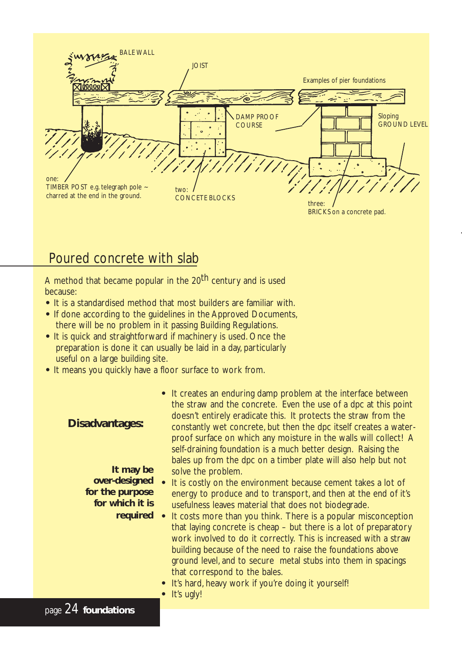

## Poured concrete with slab

**for which it is**

A method that became popular in the 20<sup>th</sup> century and is used because:

- It is a standardised method that most builders are familiar with.
- If done according to the guidelines in the Approved Documents, there will be no problem in it passing Building Regulations.
- It is quick and straightforward if machinery is used. Once the preparation is done it can usually be laid in a day, particularly useful on a large building site.
- It means you quickly have a floor surface to work from.
	- **Disadvantages: It may be over-designed for the purpose •** It creates an enduring damp problem at the interface between the straw and the concrete. Even the use of a dpc at this point doesn't entirely eradicate this. It protects the straw from the constantly wet concrete, but then the dpc itself creates a waterproof surface on which any moisture in the walls will collect! A self-draining foundation is a much better design. Raising the bales up from the dpc on a timber plate will also help but not solve the problem. **•** It is costly on the environment because cement takes a lot of
		- energy to produce and to transport, and then at the end of it's usefulness leaves material that does not biodegrade.
		- **required •** It costs more than you think. There is a popular misconception that laying concrete is cheap – but there is a lot of preparatory work involved to do it correctly. This is increased with a straw building because of the need to raise the foundations above ground level, and to secure metal stubs into them in spacings that correspond to the bales.
			- It's hard, heavy work if you're doing it yourself! **•** It's ugly!

### page 24 **foundations**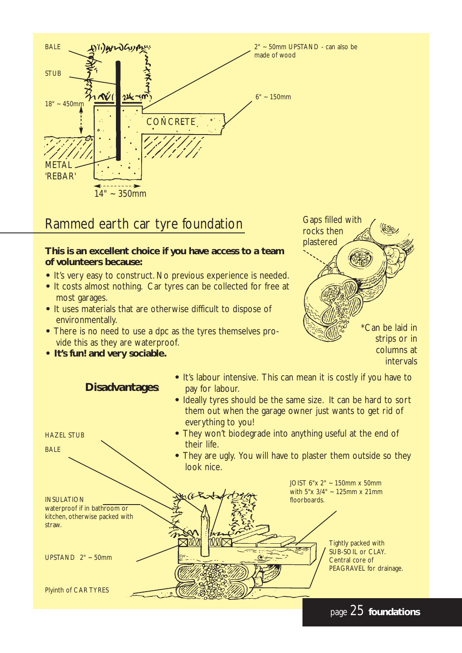

# Rammed earth car tyre foundation

#### **This is an excellent choice if you have access to a team of volunteers because:**

- It's very easy to construct. No previous experience is needed.
- It costs almost nothing. Car tyres can be collected for free at most garages.
- It uses materials that are otherwise difficult to dispose of environmentally.
- There is no need to use a dpc as the tyres themselves provide this as they are waterproof.
- **It's fun! and very sociable.**



page 25 **foundations**

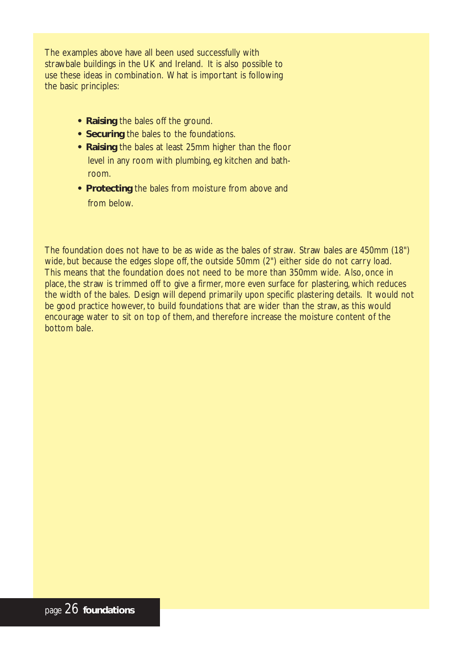The examples above have all been used successfully with strawbale buildings in the UK and Ireland. It is also possible to use these ideas in combination. What is important is following the basic principles:

- **Raising** the bales off the ground.
- **Securing** the bales to the foundations.
- **Raising** the bales at least 25mm higher than the floor level in any room with plumbing, eg kitchen and bathroom.
- **Protecting** the bales from moisture from above and from below.

The foundation does not have to be as wide as the bales of straw. Straw bales are 450mm (18") wide, but because the edges slope off, the outside 50mm (2") either side do not carry load. This means that the foundation does not need to be more than 350mm wide. Also, once in place, the straw is trimmed off to give a firmer, more even surface for plastering, which reduces the width of the bales. Design will depend primarily upon specific plastering details. It would not be good practice however, to build foundations that are wider than the straw, as this would encourage water to sit on top of them, and therefore increase the moisture content of the bottom bale.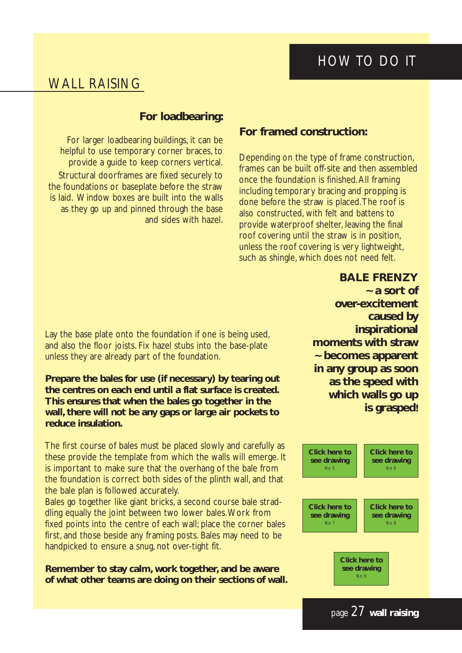# HOW TO DO IT

## <span id="page-28-0"></span>WALL RAISING

#### **For loadbearing:**

For larger loadbearing buildings, it can be helpful to use temporary corner braces, to provide a guide to keep corners vertical. Structural doorframes are fixed securely to the foundations or baseplate before the straw is laid. Window boxes are built into the walls as they go up and pinned through the base and sides with hazel.

### **For framed construction:**

Depending on the type of frame construction, frames can be built off-site and then assembled once the foundation is finished.All framing including temporary bracing and propping is done before the straw is placed.The roof is also constructed, with felt and battens to provide waterproof shelter, leaving the final roof covering until the straw is in position, unless the roof covering is very lightweight, such as shingle, which does not need felt.

Lay the base plate onto the foundation if one is being used, and also the floor joists. Fix hazel stubs into the base-plate unless they are already part of the foundation.

**Prepare the bales for use (if necessary) by tearing out the centres on each end until a flat surface is created. This ensures that when the bales go together in the wall, there will not be any gaps or large air pockets to reduce insulation.**

The first course of bales must be placed slowly and carefully as these provide the template from which the walls will emerge. It is important to make sure that the overhang of the bale from the foundation is correct both sides of the plinth wall, and that the bale plan is followed accurately.

Bales go together like giant bricks, a second course bale straddling equally the joint between two lower bales.Work from fixed points into the centre of each wall; place the corner bales first, and those beside any framing posts. Bales may need to be handpicked to ensure a snug, not over-tight fit.

**Remember to stay calm, work together, and be aware of what other teams are doing on their sections of wall.**

**BALE FRENZY ~ a sort of over-excitement caused by inspirational moments with straw ~ becomes apparent in any group as soon as the speed with which walls go up is grasped!** 

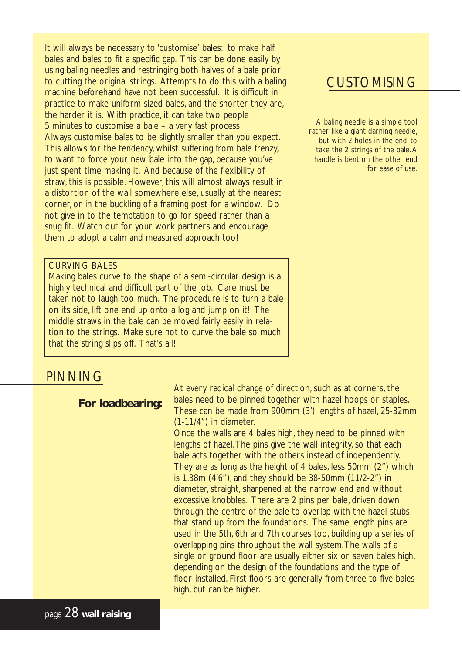It will always be necessary to 'customise' bales: to make half bales and bales to fit a specific gap. This can be done easily by using baling needles and restringing both halves of a bale prior to cutting the original strings. Attempts to do this with a baling machine beforehand have not been successful. It is difficult in practice to make uniform sized bales, and the shorter they are, the harder it is. With practice, it can take two people 5 minutes to customise a bale – a very fast process! Always customise bales to be slightly smaller than you expect. This allows for the tendency, whilst suffering from bale frenzy, to want to force your new bale into the gap, because you've just spent time making it. And because of the flexibility of straw, this is possible. However, this will almost always result in a distortion of the wall somewhere else, usually at the nearest corner, or in the buckling of a framing post for a window. Do not give in to the temptation to go for speed rather than a snug fit. Watch out for your work partners and encourage them to adopt a calm and measured approach too!

#### CURVING BALES

Making bales curve to the shape of a semi-circular design is a highly technical and difficult part of the job. Care must be taken not to laugh too much. The procedure is to turn a bale on its side, lift one end up onto a log and jump on it! The middle straws in the bale can be moved fairly easily in relation to the strings. Make sure not to curve the bale so much that the string slips off. That's all!

## PINNING

#### **For loadbearing:**

At every radical change of direction, such as at corners, the bales need to be pinned together with hazel hoops or staples. These can be made from 900mm (3') lengths of hazel, 25-32mm (1-11/4") in diameter.

Once the walls are 4 bales high, they need to be pinned with lengths of hazel.The pins give the wall integrity, so that each bale acts together with the others instead of independently. They are as long as the height of 4 bales, less 50mm (2") which is 1.38m (4'6"), and they should be 38-50mm (11/2-2") in diameter, straight, sharpened at the narrow end and without excessive knobbles. There are 2 pins per bale, driven down through the centre of the bale to overlap with the hazel stubs that stand up from the foundations. The same length pins are used in the 5th, 6th and 7th courses too, building up a series of overlapping pins throughout the wall system.The walls of a single or ground floor are usually either six or seven bales high, depending on the design of the foundations and the type of floor installed. First floors are generally from three to five bales high, but can be higher.

## **CUSTOMISING**

A baling needle is a simple tool rather like a giant darning needle, but with 2 holes in the end, to take the 2 strings of the bale.A handle is bent on the other end for ease of use.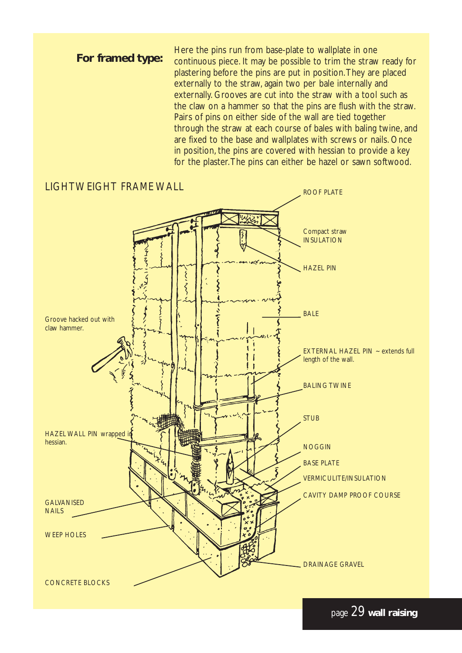Here the pins run from base-plate to wallplate in one<br>**For framed type:** continuous piece. It may be possible to trim the straw ready for plastering before the pins are put in position.They are placed externally to the straw, again two per bale internally and externally. Grooves are cut into the straw with a tool such as the claw on a hammer so that the pins are flush with the straw. Pairs of pins on either side of the wall are tied together through the straw at each course of bales with baling twine, and are fixed to the base and wallplates with screws or nails. Once in position, the pins are covered with hessian to provide a key for the plaster.The pins can either be hazel or sawn softwood.



page 29 **wall raising**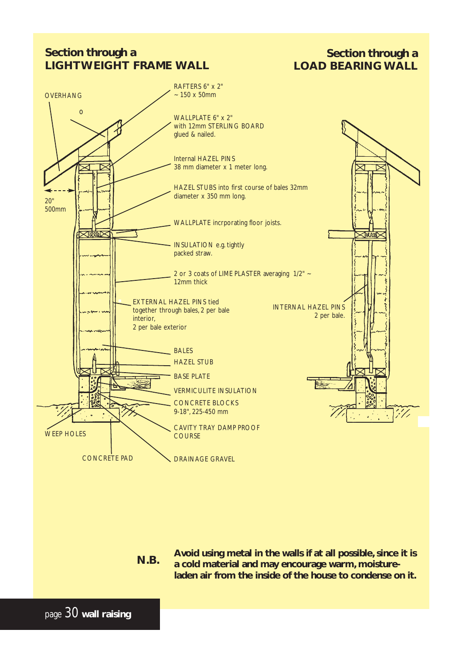## **Section through a LIGHTWEIGHT FRAME WALL**

## **Section through a LOAD BEARING WALL**



**N.B.**

**Avoid using metal in the walls if at all possible, since it is a cold material and may encourage warm, moistureladen air from the inside of the house to condense on it.**

page 30 **wall raising**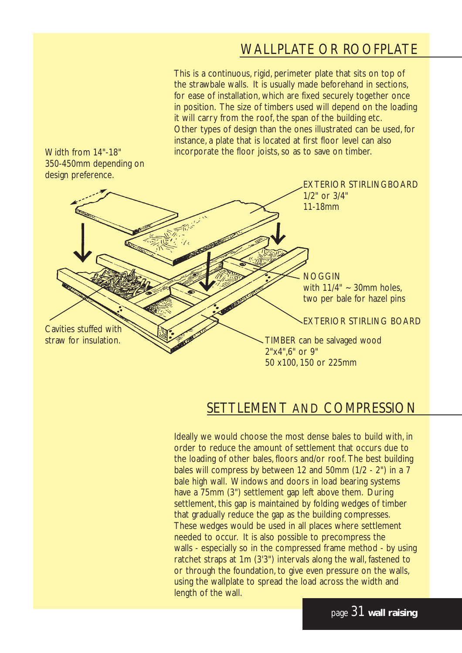## WALLPLATE OR ROOFPLATE

This is a continuous, rigid, perimeter plate that sits on top of the strawbale walls. It is usually made beforehand in sections, for ease of installation, which are fixed securely together once in position. The size of timbers used will depend on the loading it will carry from the roof, the span of the building etc. Other types of design than the ones illustrated can be used, for instance, a plate that is located at first floor level can also incorporate the floor joists, so as to save on timber.

Width from 14"-18" 350-450mm depending on design preference.



## SETTLEMENT AND COMPRESSION

Ideally we would choose the most dense bales to build with, in order to reduce the amount of settlement that occurs due to the loading of other bales, floors and/or roof. The best building bales will compress by between 12 and 50mm (1/2 - 2") in a 7 bale high wall. Windows and doors in load bearing systems have a 75mm (3") settlement gap left above them. During settlement, this gap is maintained by folding wedges of timber that gradually reduce the gap as the building compresses. These wedges would be used in all places where settlement needed to occur. It is also possible to precompress the walls - especially so in the compressed frame method - by using ratchet straps at 1m (3'3") intervals along the wall, fastened to or through the foundation, to give even pressure on the walls, using the wallplate to spread the load across the width and length of the wall.

page 31 **wall raising**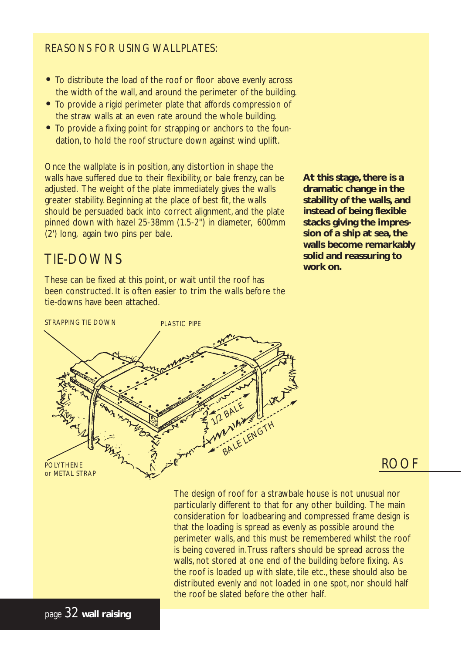#### REASONS FOR USING WALLPLATES:

- To distribute the load of the roof or floor above evenly across the width of the wall, and around the perimeter of the building.
- To provide a rigid perimeter plate that affords compression of the straw walls at an even rate around the whole building.
- To provide a fixing point for strapping or anchors to the foundation, to hold the roof structure down against wind uplift.

Once the wallplate is in position, any distortion in shape the walls have suffered due to their flexibility, or bale frenzy, can be adjusted. The weight of the plate immediately gives the walls greater stability. Beginning at the place of best fit, the walls should be persuaded back into correct alignment, and the plate pinned down with hazel 25-38mm (1.5-2") in diameter, 600mm (2') long, again two pins per bale.

# **work on.** TIE-DOWNS

These can be fixed at this point, or wait until the roof has been constructed. It is often easier to trim the walls before the tie-downs have been attached.



**At this stage, there is a dramatic change in the stability of the walls, and instead of being flexible stacks giving the impression of a ship at sea, the walls become remarkably solid and reassuring to**

## ROOF

The design of roof for a strawbale house is not unusual nor particularly different to that for any other building. The main consideration for loadbearing and compressed frame design is that the loading is spread as evenly as possible around the perimeter walls, and this must be remembered whilst the roof is being covered in.Truss rafters should be spread across the walls, not stored at one end of the building before fixing. As the roof is loaded up with slate, tile etc., these should also be distributed evenly and not loaded in one spot, nor should half the roof be slated before the other half.

page 32 **wall raising**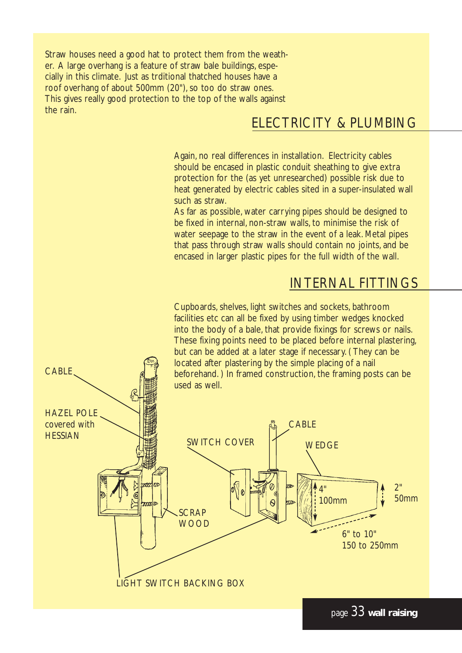Straw houses need a good hat to protect them from the weather. A large overhang is a feature of straw bale buildings, especially in this climate. Just as trditional thatched houses have a roof overhang of about 500mm (20"), so too do straw ones. This gives really good protection to the top of the walls against the rain.

CABLE

## ELECTRICITY & PLUMBING

Again, no real differences in installation. Electricity cables should be encased in plastic conduit sheathing to give extra protection for the (as yet unresearched) possible risk due to heat generated by electric cables sited in a super-insulated wall such as straw.

As far as possible, water carrying pipes should be designed to be fixed in internal, non-straw walls, to minimise the risk of water seepage to the straw in the event of a leak. Metal pipes that pass through straw walls should contain no joints, and be encased in larger plastic pipes for the full width of the wall.

## INTERNAL FITTINGS

Cupboards, shelves, light switches and sockets, bathroom facilities etc can all be fixed by using timber wedges knocked into the body of a bale, that provide fixings for screws or nails. These fixing points need to be placed before internal plastering, but can be added at a later stage if necessary. ( They can be located after plastering by the simple placing of a nail beforehand. ) In framed construction, the framing posts can be used as well.

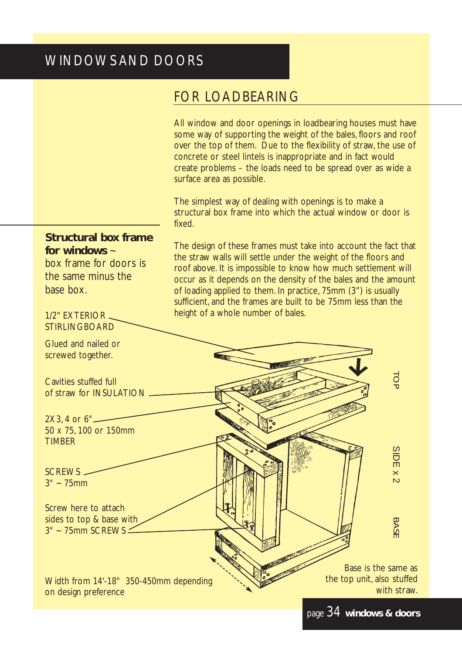# <span id="page-35-0"></span>WINDOWS AND DOORS

## FOR LOADBEARING

All window and door openings in loadbearing houses must have some way of supporting the weight of the bales, floors and roof over the top of them. Due to the flexibility of straw, the use of concrete or steel lintels is inappropriate and in fact would create problems – the loads need to be spread over as wide a surface area as possible.

The simplest way of dealing with openings is to make a structural box frame into which the actual window or door is fixed.

The design of these frames must take into account the fact that the straw walls will settle under the weight of the floors and roof above. It is impossible to know how much settlement will occur as it depends on the density of the bales and the amount of loading applied to them. In practice, 75mm (3") is usually sufficient, and the frames are built to be 75mm less than the height of a whole number of bales. 1/2" EXTERIOR

## **Structural box frame for windows** ~

box frame for doors is the same minus the base box.

STIRI INGBOARD

Glued and nailed or screwed together.

Cavities stuffed full of straw for INSULATION

2X3, 4 or 6" 50 x 75, 100 or 150mm **TIMBER** 

SCREWS .  $3" \sim 75$ mm

Screw here to attach sides to top & base with  $3" \sim 75$ mm SCREWS  $\leq$ 

Width from 14'-18" 350-450mm depending on design preference

Base is the same as the top unit, also stuffed with straw.

 $\overline{Q}$ 

SIDE x 2

SIDE x 2

BASE

page 34 **windows & doors**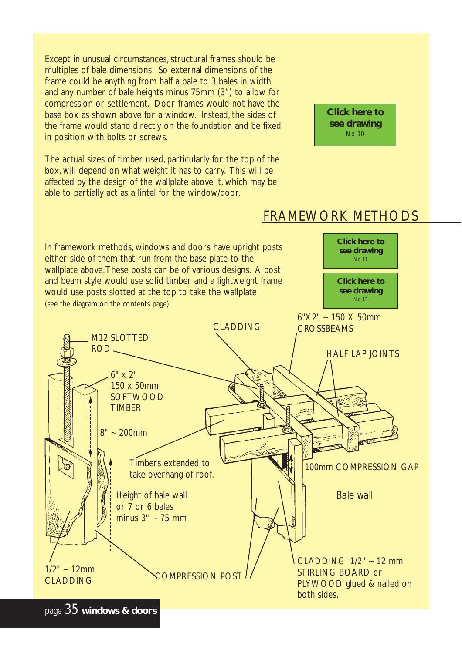Except in unusual circumstances, structural frames should be multiples of bale dimensions. So external dimensions of the frame could be anything from half a bale to 3 bales in width and any number of bale heights minus 75mm (3") to allow for compression or settlement. Door frames would not have the base box as shown above for a window. Instead, the sides of the frame would stand directly on the foundation and be fixed in position with bolts or screws.

The actual sizes of timber used, particularly for the top of the box, will depend on what weight it has to carry. This will be affected by the design of the wallplate above it, which may be able to partially act as a lintel for the window/door.



# FRAMEWORK METHODS

**[Click here to](#page-72-0)  see drawing** No 10

page 35 **windows & doors**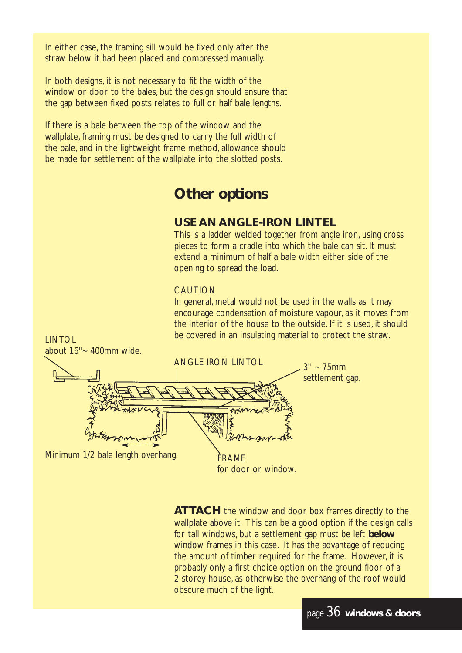In either case, the framing sill would be fixed only after the straw below it had been placed and compressed manually.

In both designs, it is not necessary to fit the width of the window or door to the bales, but the design should ensure that the gap between fixed posts relates to full or half bale lengths.

If there is a bale between the top of the window and the wallplate, framing must be designed to carry the full width of the bale, and in the lightweight frame method, allowance should be made for settlement of the wallplate into the slotted posts.

# **Other options**

### **USE AN ANGLE-IRON LINTEL**

This is a ladder welded together from angle iron, using cross pieces to form a cradle into which the bale can sit. It must extend a minimum of half a bale width either side of the opening to spread the load.

#### CAUTION

In general, metal would not be used in the walls as it may encourage condensation of moisture vapour, as it moves from the interior of the house to the outside. If it is used, it should be covered in an insulating material to protect the straw.



LINTOL about 16"~ 400mm wide.

for door or window.

**ATTACH** the window and door box frames directly to the wallplate above it. This can be a good option if the design calls for tall windows, but a settlement gap must be left **below**  window frames in this case. It has the advantage of reducing the amount of timber required for the frame. However, it is probably only a first choice option on the ground floor of a 2-storey house, as otherwise the overhang of the roof would obscure much of the light.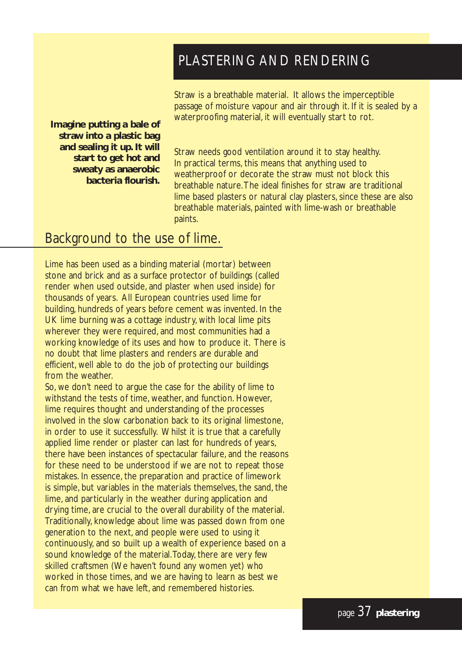# PLASTERING AND RENDERING

Straw is a breathable material. It allows the imperceptible passage of moisture vapour and air through it. If it is sealed by a waterproofing material, it will eventually start to rot. **Imagine putting a bale of**

**straw into a plastic bag and sealing it up. It will start to get hot and sweaty as anaerobic bacteria flourish.**

Straw needs good ventilation around it to stay healthy. In practical terms, this means that anything used to weatherproof or decorate the straw must not block this breathable nature.The ideal finishes for straw are traditional lime based plasters or natural clay plasters, since these are also breathable materials, painted with lime-wash or breathable paints.

### Background to the use of lime.

Lime has been used as a binding material (mortar) between stone and brick and as a surface protector of buildings (called render when used outside, and plaster when used inside) for thousands of years. All European countries used lime for building, hundreds of years before cement was invented. In the UK lime burning was a cottage industry, with local lime pits wherever they were required, and most communities had a working knowledge of its uses and how to produce it. There is no doubt that lime plasters and renders are durable and efficient, well able to do the job of protecting our buildings from the weather.

So, we don't need to argue the case for the ability of lime to withstand the tests of time, weather, and function. However, lime requires thought and understanding of the processes involved in the slow carbonation back to its original limestone, in order to use it successfully. Whilst it is true that a carefully applied lime render or plaster can last for hundreds of years, there have been instances of spectacular failure, and the reasons for these need to be understood if we are not to repeat those mistakes. In essence, the preparation and practice of limework is simple, but variables in the materials themselves, the sand, the lime, and particularly in the weather during application and drying time, are crucial to the overall durability of the material. Traditionally, knowledge about lime was passed down from one generation to the next, and people were used to using it continuously, and so built up a wealth of experience based on a sound knowledge of the material. Today, there are very few skilled craftsmen (We haven't found any women yet) who worked in those times, and we are having to learn as best we can from what we have left, and remembered histories.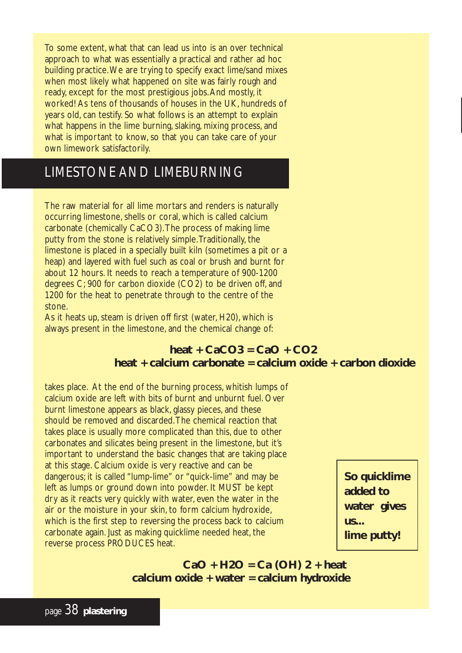To some extent, what that can lead us into is an over technical approach to what was essentially a practical and rather ad hoc building practice.We are trying to specify exact lime/sand mixes when most likely what happened on site was fairly rough and ready, except for the most prestigious jobs.And mostly, it worked! As tens of thousands of houses in the UK, hundreds of years old, can testify. So what follows is an attempt to explain what happens in the lime burning, slaking, mixing process, and what is important to know, so that you can take care of your own limework satisfactorily.

# LIMESTONE AND LIMEBURNING

The raw material for all lime mortars and renders is naturally occurring limestone, shells or coral, which is called calcium carbonate (chemically CaCO3).The process of making lime putty from the stone is relatively simple.Traditionally, the limestone is placed in a specially built kiln (sometimes a pit or a heap) and layered with fuel such as coal or brush and burnt for about 12 hours. It needs to reach a temperature of 900-1200 degrees C; 900 for carbon dioxide (CO2) to be driven off, and 1200 for the heat to penetrate through to the centre of the stone.

As it heats up, steam is driven off first (water, H20), which is always present in the limestone, and the chemical change of:

### **heat + CaCO3 = CaO + CO2 heat + calcium carbonate = calcium oxide + carbon dioxide**

takes place. At the end of the burning process, whitish lumps of calcium oxide are left with bits of burnt and unburnt fuel. Over burnt limestone appears as black, glassy pieces, and these should be removed and discarded.The chemical reaction that takes place is usually more complicated than this, due to other carbonates and silicates being present in the limestone, but it's important to understand the basic changes that are taking place at this stage. Calcium oxide is very reactive and can be dangerous; it is called "lump-lime" or "quick-lime" and may be left as lumps or ground down into powder. It MUST be kept dry as it reacts very quickly with water, even the water in the air or the moisture in your skin, to form calcium hydroxide, which is the first step to reversing the process back to calcium carbonate again. Just as making quicklime needed heat, the reverse process PRODUCES heat.

**So quicklime added to water gives us... lime putty!** 

**CaO + H2O = Ca (OH) 2 + heat calcium oxide + water = calcium hydroxide**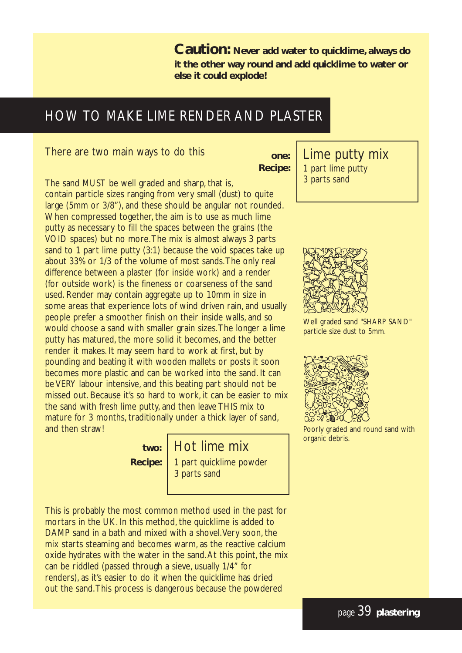**Caution: Never add water to quicklime, always do it the other way round and add quicklime to water or else it could explode!**

# HOW TO MAKE LIME RENDER AND PLASTER

# There are two main ways to do this **one:** Lime putty mix

**Recipe:** 1 part lime putty 3 parts sand



**two:** Hot lime mix **Recipe:** 1 part quicklime powder 3 parts sand

This is probably the most common method used in the past for mortars in the UK. In this method, the quicklime is added to DAMP sand in a bath and mixed with a shovel.Very soon, the mix starts steaming and becomes warm, as the reactive calcium oxide hydrates with the water in the sand.At this point, the mix can be riddled (passed through a sieve, usually 1/4" for renders), as it's easier to do it when the quicklime has dried out the sand.This process is dangerous because the powdered



Well graded sand "SHARP SAND" particle size dust to 5mm.



Poorly graded and round sand with organic debris.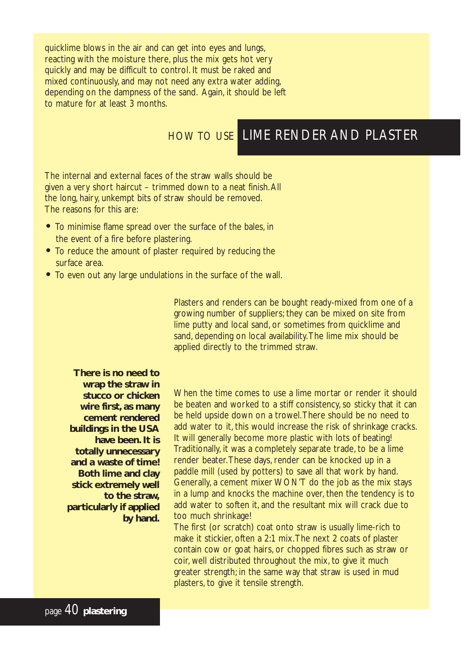quicklime blows in the air and can get into eyes and lungs, reacting with the moisture there, plus the mix gets hot very quickly and may be difficult to control. It must be raked and mixed continuously, and may not need any extra water adding, depending on the dampness of the sand. Again, it should be left to mature for at least 3 months.

**HOW TO USE LIME RENDER AND PLASTER** 

The internal and external faces of the straw walls should be given a very short haircut – trimmed down to a neat finish.All the long, hairy, unkempt bits of straw should be removed. The reasons for this are:

- To minimise flame spread over the surface of the bales, in the event of a fire before plastering.
- To reduce the amount of plaster required by reducing the surface area.
- To even out any large undulations in the surface of the wall.

Plasters and renders can be bought ready-mixed from one of a growing number of suppliers; they can be mixed on site from lime putty and local sand, or sometimes from quicklime and sand, depending on local availability.The lime mix should be applied directly to the trimmed straw.

**There is no need to wrap the straw in stucco or chicken wire first, as many cement rendered buildings in the USA have been. It is totally unnecessary and a waste of time! Both lime and clay stick extremely well to the straw, particularly if applied by hand.**

When the time comes to use a lime mortar or render it should be beaten and worked to a stiff consistency, so sticky that it can be held upside down on a trowel.There should be no need to add water to it, this would increase the risk of shrinkage cracks. It will generally become more plastic with lots of beating! Traditionally, it was a completely separate trade, to be a lime render beater.These days, render can be knocked up in a paddle mill (used by potters) to save all that work by hand. Generally, a cement mixer WON'T do the job as the mix stays in a lump and knocks the machine over, then the tendency is to add water to soften it, and the resultant mix will crack due to too much shrinkage!

The first (or scratch) coat onto straw is usually lime-rich to make it stickier, often a 2:1 mix.The next 2 coats of plaster contain cow or goat hairs, or chopped fibres such as straw or coir, well distributed throughout the mix, to give it much greater strength; in the same way that straw is used in mud plasters, to give it tensile strength.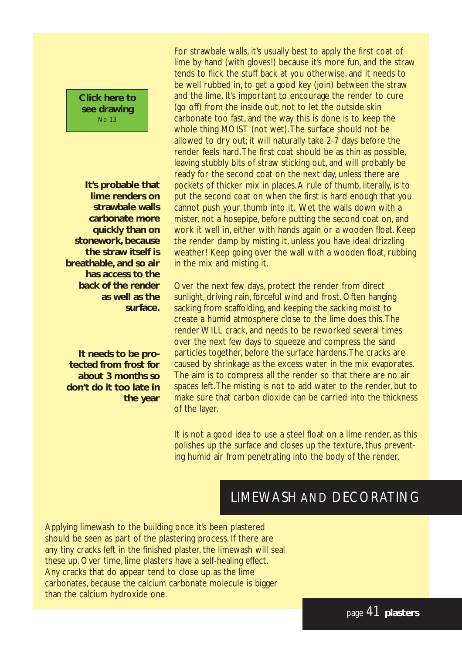**[Click here to](#page-75-1)  see drawing** No 13

**It's probable that lime renders on strawbale walls carbonate more quickly than on stonework, because the straw itself is breathable, and so air has access to the back of the render as well as the surface.**

**It needs to be protected from frost for about 3 months so don't do it too late in the year**

For strawbale walls, it's usually best to apply the first coat of lime by hand (with gloves!) because it's more fun, and the straw tends to flick the stuff back at you otherwise, and it needs to be well rubbed in, to get a good key (join) between the straw and the lime. It's important to encourage the render to cure (go off) from the inside out, not to let the outside skin carbonate too fast, and the way this is done is to keep the whole thing MOIST (not wet). The surface should not be allowed to dry out; it will naturally take 2-7 days before the render feels hard.The first coat should be as thin as possible, leaving stubbly bits of straw sticking out, and will probably be ready for the second coat on the next day, unless there are pockets of thicker mix in places.A rule of thumb, literally, is to put the second coat on when the first is hard enough that you cannot push your thumb into it. Wet the walls down with a mister, not a hosepipe, before putting the second coat on, and work it well in, either with hands again or a wooden float. Keep the render damp by misting it, unless you have ideal drizzling weather! Keep going over the wall with a wooden float, rubbing in the mix and misting it.

Over the next few days, protect the render from direct sunlight, driving rain, forceful wind and frost. Often hanging sacking from scaffolding, and keeping the sacking moist to create a humid atmosphere close to the lime does this.The render WILL crack, and needs to be reworked several times over the next few days to squeeze and compress the sand particles together, before the surface hardens.The cracks are caused by shrinkage as the excess water in the mix evaporates. The aim is to compress all the render so that there are no air spaces left.The misting is not to add water to the render, but to make sure that carbon dioxide can be carried into the thickness of the layer.

It is not a good idea to use a steel float on a lime render, as this polishes up the surface and closes up the texture, thus preventing humid air from penetrating into the body of the render.

## LIMEWASH AND DECORATING

Applying limewash to the building once it's been plastered should be seen as part of the plastering process. If there are any tiny cracks left in the finished plaster, the limewash will seal these up. Over time, lime plasters have a self-healing effect. Any cracks that do appear tend to close up as the lime carbonates, because the calcium carbonate molecule is bigger than the calcium hydroxide one.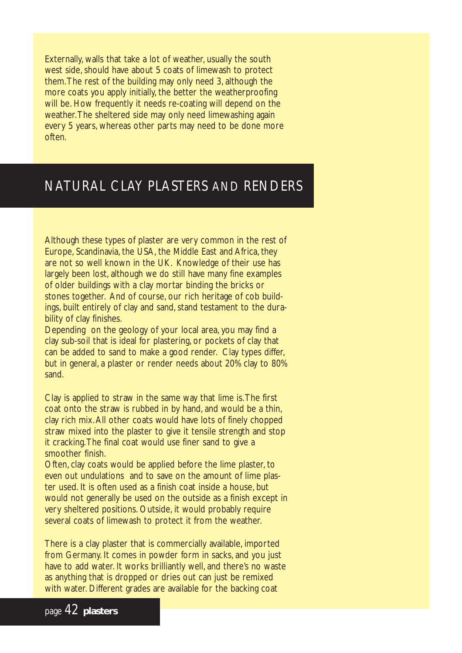Externally, walls that take a lot of weather, usually the south west side, should have about 5 coats of limewash to protect them.The rest of the building may only need 3, although the more coats you apply initially, the better the weatherproofing will be. How frequently it needs re-coating will depend on the weather.The sheltered side may only need limewashing again every 5 years, whereas other parts may need to be done more often.

# NATURAL CLAY PLASTERS AND RENDERS

Although these types of plaster are very common in the rest of Europe, Scandinavia, the USA, the Middle East and Africa, they are not so well known in the UK. Knowledge of their use has largely been lost, although we do still have many fine examples of older buildings with a clay mortar binding the bricks or stones together. And of course, our rich heritage of cob buildings, built entirely of clay and sand, stand testament to the durability of clay finishes.

Depending on the geology of your local area, you may find a clay sub-soil that is ideal for plastering, or pockets of clay that can be added to sand to make a good render. Clay types differ, but in general, a plaster or render needs about 20% clay to 80% sand.

Clay is applied to straw in the same way that lime is.The first coat onto the straw is rubbed in by hand, and would be a thin, clay rich mix.All other coats would have lots of finely chopped straw mixed into the plaster to give it tensile strength and stop it cracking.The final coat would use finer sand to give a smoother finish.

Often, clay coats would be applied before the lime plaster, to even out undulations and to save on the amount of lime plaster used. It is often used as a finish coat inside a house, but would not generally be used on the outside as a finish except in very sheltered positions. Outside, it would probably require several coats of limewash to protect it from the weather.

There is a clay plaster that is commercially available, imported from Germany. It comes in powder form in sacks, and you just have to add water. It works brilliantly well, and there's no waste as anything that is dropped or dries out can just be remixed with water. Different grades are available for the backing coat

page 42 **plasters**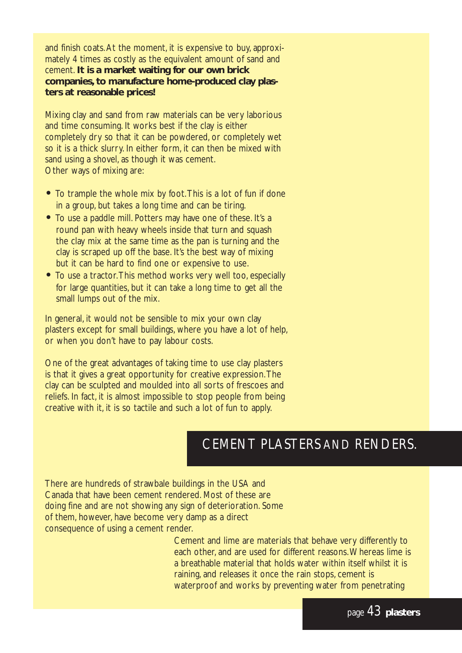and finish coats.At the moment, it is expensive to buy, approximately 4 times as costly as the equivalent amount of sand and cement. **It is a market waiting for our own brick companies, to manufacture home-produced clay plasters at reasonable prices!** 

Mixing clay and sand from raw materials can be very laborious and time consuming. It works best if the clay is either completely dry so that it can be powdered, or completely wet so it is a thick slurry. In either form, it can then be mixed with sand using a shovel, as though it was cement. Other ways of mixing are:

- To trample the whole mix by foot.This is a lot of fun if done in a group, but takes a long time and can be tiring.
- To use a paddle mill. Potters may have one of these. It's a round pan with heavy wheels inside that turn and squash the clay mix at the same time as the pan is turning and the clay is scraped up off the base. It's the best way of mixing but it can be hard to find one or expensive to use.
- To use a tractor.This method works very well too, especially for large quantities, but it can take a long time to get all the small lumps out of the mix.

In general, it would not be sensible to mix your own clay plasters except for small buildings, where you have a lot of help, or when you don't have to pay labour costs.

One of the great advantages of taking time to use clay plasters is that it gives a great opportunity for creative expression.The clay can be sculpted and moulded into all sorts of frescoes and reliefs. In fact, it is almost impossible to stop people from being creative with it, it is so tactile and such a lot of fun to apply.

# CEMENT PLASTERS AND RENDERS.

There are hundreds of strawbale buildings in the USA and Canada that have been cement rendered. Most of these are doing fine and are not showing any sign of deterioration. Some of them, however, have become very damp as a direct consequence of using a cement render.

> Cement and lime are materials that behave very differently to each other, and are used for different reasons.Whereas lime is a breathable material that holds water within itself whilst it is raining, and releases it once the rain stops, cement is waterproof and works by preventing water from penetrating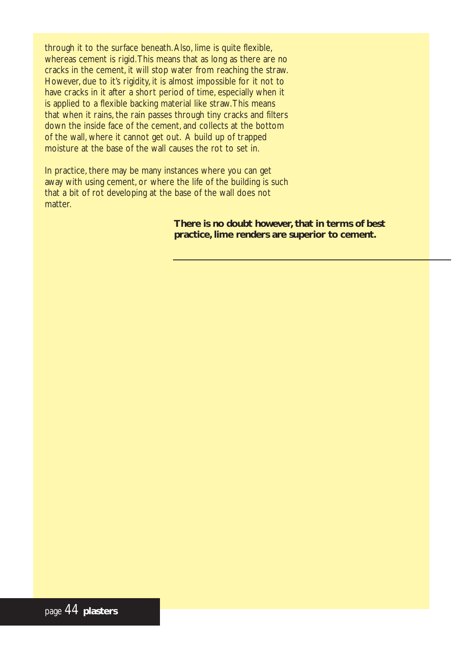through it to the surface beneath.Also, lime is quite flexible, whereas cement is rigid.This means that as long as there are no cracks in the cement, it will stop water from reaching the straw. However, due to it's rigidity, it is almost impossible for it not to have cracks in it after a short period of time, especially when it is applied to a flexible backing material like straw.This means that when it rains, the rain passes through tiny cracks and filters down the inside face of the cement, and collects at the bottom of the wall, where it cannot get out. A build up of trapped moisture at the base of the wall causes the rot to set in.

In practice, there may be many instances where you can get away with using cement, or where the life of the building is such that a bit of rot developing at the base of the wall does not matter.

> **There is no doubt however, that in terms of best practice, lime renders are superior to cement.**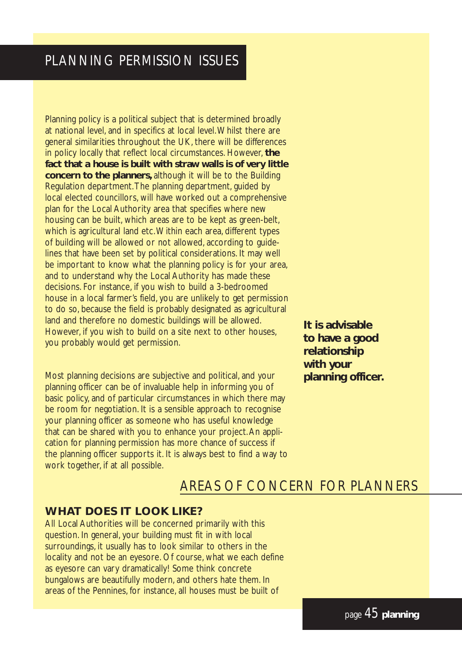# PLANNING PERMISSION ISSUES

Planning policy is a political subject that is determined broadly at national level, and in specifics at local level.Whilst there are general similarities throughout the UK, there will be differences in policy locally that reflect local circumstances. However, **the fact that a house is built with straw walls is of very little concern to the planners,** although it will be to the Building Regulation department.The planning department, guided by local elected councillors, will have worked out a comprehensive plan for the Local Authority area that specifies where new housing can be built, which areas are to be kept as green-belt, which is agricultural land etc.Within each area, different types of building will be allowed or not allowed, according to guidelines that have been set by political considerations. It may well be important to know what the planning policy is for your area, and to understand why the Local Authority has made these decisions. For instance, if you wish to build a 3-bedroomed house in a local farmer's field, you are unlikely to get permission to do so, because the field is probably designated as agricultural land and therefore no domestic buildings will be allowed. However, if you wish to build on a site next to other houses, you probably would get permission.

Most planning decisions are subjective and political, and your **planning officer.** planning officer can be of invaluable help in informing you of basic policy, and of particular circumstances in which there may be room for negotiation. It is a sensible approach to recognise your planning officer as someone who has useful knowledge that can be shared with you to enhance your project.An application for planning permission has more chance of success if the planning officer supports it. It is always best to find a way to work together, if at all possible.

**It is advisable to have a good relationship with your** 

### AREAS OF CONCERN FOR PLANNERS

### **WHAT DOES IT LOOK LIKE?**

All Local Authorities will be concerned primarily with this question. In general, your building must fit in with local surroundings, it usually has to look similar to others in the locality and not be an eyesore. Of course, what we each define as eyesore can vary dramatically! Some think concrete bungalows are beautifully modern, and others hate them. In areas of the Pennines, for instance, all houses must be built of

page 45 **planning**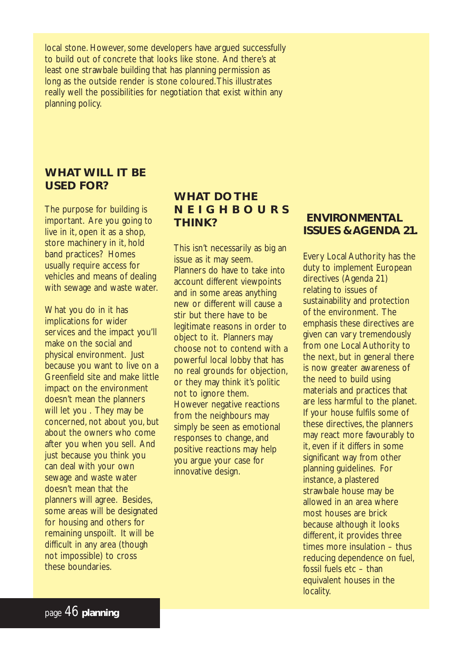local stone. However, some developers have argued successfully to build out of concrete that looks like stone. And there's at least one strawbale building that has planning permission as long as the outside render is stone coloured.This illustrates really well the possibilities for negotiation that exist within any planning policy.

### **WHAT WILL IT BE USED FOR?**

The purpose for building is important. Are you going to live in it, open it as a shop, store machinery in it, hold band practices? Homes usually require access for vehicles and means of dealing with sewage and waste water.

What you do in it has implications for wider services and the impact you'll make on the social and physical environment. Just because you want to live on a Greenfield site and make little impact on the environment doesn't mean the planners will let you . They may be concerned, not about you, but about the owners who come after you when you sell. And just because you think you can deal with your own sewage and waste water doesn't mean that the planners will agree. Besides, some areas will be designated for housing and others for remaining unspoilt. It will be difficult in any area (though not impossible) to cross these boundaries.

### **WHAT DO THE NEIGHBOURS THINK?**

This isn't necessarily as big an issue as it may seem. Planners do have to take into account different viewpoints and in some areas anything new or different will cause a stir but there have to be legitimate reasons in order to object to it. Planners may choose not to contend with a powerful local lobby that has no real grounds for objection, or they may think it's politic not to ignore them. However negative reactions from the neighbours may simply be seen as emotional responses to change, and positive reactions may help you argue your case for innovative design.

### **ENVIRONMENTAL ISSUES & AGENDA 21.**

Every Local Authority has the duty to implement European directives (Agenda 21) relating to issues of sustainability and protection of the environment. The emphasis these directives are given can vary tremendously from one Local Authority to the next, but in general there is now greater awareness of the need to build using materials and practices that are less harmful to the planet. If your house fulfils some of these directives, the planners may react more favourably to it, even if it differs in some significant way from other planning guidelines. For instance, a plastered strawbale house may be allowed in an area where most houses are brick because although it looks different, it provides three times more insulation – thus reducing dependence on fuel, fossil fuels etc – than equivalent houses in the locality.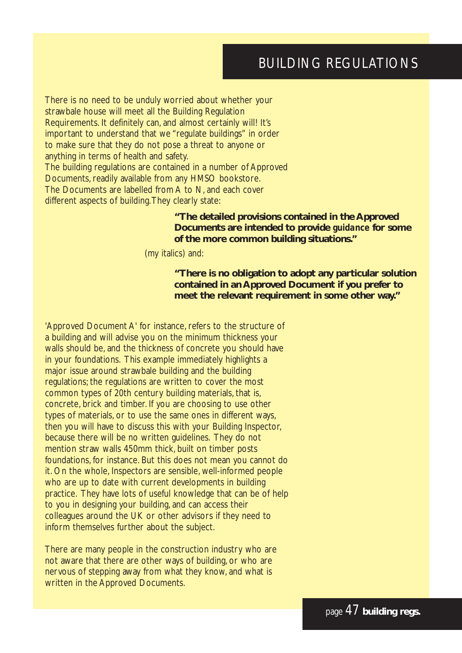# BUILDING REGULATIONS

There is no need to be unduly worried about whether your strawbale house will meet all the Building Regulation Requirements. It definitely can, and almost certainly will! It's important to understand that we "regulate buildings" in order to make sure that they do not pose a threat to anyone or anything in terms of health and safety. The building regulations are contained in a number of Approved Documents, readily available from any HMSO bookstore. The Documents are labelled from A to N, and each cover different aspects of building.They clearly state:

### **"The detailed provisions contained in the Approved Documents are intended to provide** *guidance* **for some of the more common building situations."**

(my italics) and:

**"There is no obligation to adopt any particular solution contained in an Approved Document if you prefer to meet the relevant requirement in some other way."**

'Approved Document A' for instance, refers to the structure of a building and will advise you on the minimum thickness your walls should be, and the thickness of concrete you should have in your foundations. This example immediately highlights a major issue around strawbale building and the building regulations; the regulations are written to cover the most common types of 20th century building materials, that is, concrete, brick and timber. If you are choosing to use other types of materials, or to use the same ones in different ways, then you will have to discuss this with your Building Inspector, because there will be no written guidelines. They do not mention straw walls 450mm thick, built on timber posts foundations, for instance. But this does not mean you cannot do it. On the whole, Inspectors are sensible, well-informed people who are up to date with current developments in building practice. They have lots of useful knowledge that can be of help to you in designing your building, and can access their colleagues around the UK or other advisors if they need to inform themselves further about the subject.

There are many people in the construction industry who are not aware that there are other ways of building, or who are nervous of stepping away from what they know, and what is written in the Approved Documents.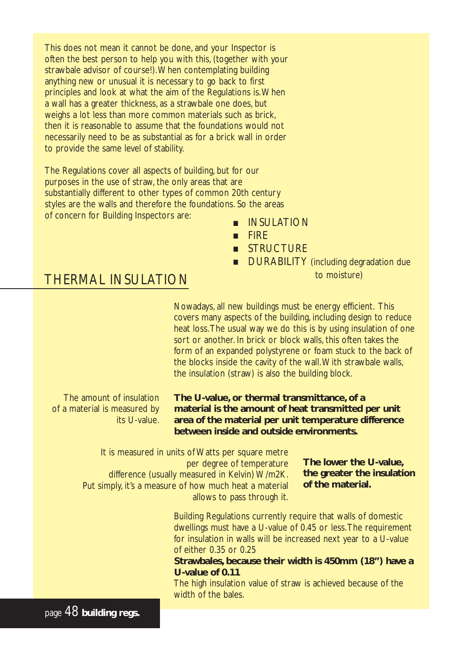This does not mean it cannot be done, and your Inspector is often the best person to help you with this, (together with your strawbale advisor of course!).When contemplating building anything new or unusual it is necessary to go back to first principles and look at what the aim of the Regulations is.When a wall has a greater thickness, as a strawbale one does, but weighs a lot less than more common materials such as brick, then it is reasonable to assume that the foundations would not necessarily need to be as substantial as for a brick wall in order to provide the same level of stability.

The Regulations cover all aspects of building, but for our purposes in the use of straw, the only areas that are substantially different to other types of common 20th century styles are the walls and therefore the foundations. So the areas of concern for Building Inspectors are:  $\begin{array}{c}\n 201 \\
\hline\n 5.5\n \end{array}$  $\frac{1}{2}$ 

- .
- $FIRF$
- STRUCTURE
- DURABILITY (including degradation due to moisture) .

# THERMAL INSULATION

Nowadays, all new buildings must be energy efficient. This covers many aspects of the building, including design to reduce heat loss.The usual way we do this is by using insulation of one sort or another. In brick or block walls, this often takes the form of an expanded polystyrene or foam stuck to the back of the blocks inside the cavity of the wall.With strawbale walls, the insulation (straw) is also the building block.

The amount of insulation of a material is measured by its U-value.

**The U-value, or thermal transmittance, of a material is the amount of heat transmitted per unit area of the material per unit temperature difference between inside and outside environments.**

It is measured in units of Watts per square metre

per degree of temperature difference (usually measured in Kelvin) W/m2K. Put simply, it's a measure of how much heat a material allows to pass through it.

**The lower the U-value, the greater the insulation of the material.**

Building Regulations currently require that walls of domestic dwellings must have a U-value of 0.45 or less.The requirement for insulation in walls will be increased next year to a U-value of either 0.35 or 0.25

### **Strawbales, because their width is 450mm (18") have a U-value of 0.11**

The high insulation value of straw is achieved because of the width of the bales.

page 48 **building regs.**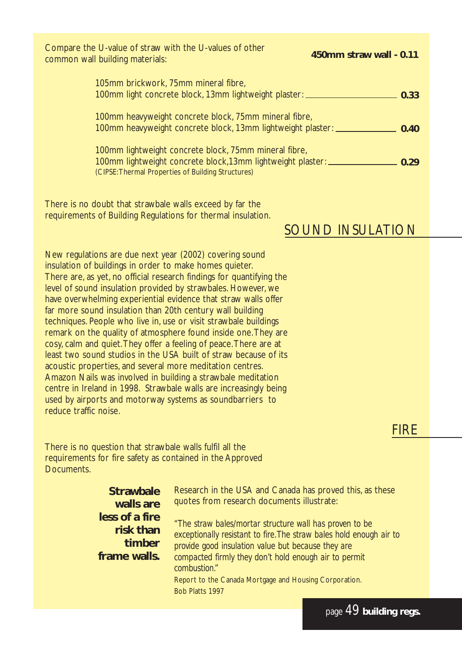Compare the U-value of straw with the U-values of other common wall building materials:

| 105mm brickwork, 75mm mineral fibre,<br>100mm light concrete block, 13mm lightweight plaster: ___                                                                                | 0.33 |
|----------------------------------------------------------------------------------------------------------------------------------------------------------------------------------|------|
| 100mm heavyweight concrete block, 75mm mineral fibre,<br>100mm heavyweight concrete block, 13mm lightweight plaster: __                                                          | 0.40 |
| 100mm lightweight concrete block, 75mm mineral fibre,<br>100mm lightweight concrete block, 13mm lightweight plaster: _____<br>(CIPSE: Thermal Properties of Building Structures) | 0.29 |

There is no doubt that strawbale walls exceed by far the requirements of Building Regulations for thermal insulation.

# **SOUND INSULATION**

**450mm straw wall - 0.11**

New regulations are due next year (2002) covering sound insulation of buildings in order to make homes quieter. There are, as yet, no official research findings for quantifying the level of sound insulation provided by strawbales. However, we have overwhelming experiential evidence that straw walls offer far more sound insulation than 20th century wall building techniques. People who live in, use or visit strawbale buildings remark on the quality of atmosphere found inside one.They are cosy, calm and quiet.They offer a feeling of peace.There are at least two sound studios in the USA built of straw because of its acoustic properties, and several more meditation centres. Amazon Nails was involved in building a strawbale meditation centre in Ireland in 1998. Strawbale walls are increasingly being used by airports and motorway systems as soundbarriers to reduce traffic noise.

# FIRE

There is no question that strawbale walls fulfil all the requirements for fire safety as contained in the Approved Documents.

> **Strawbale walls are less of a fire risk than timber frame walls.**

Research in the USA and Canada has proved this, as these quotes from research documents illustrate:

*"The straw bales/mortar structure wall has proven to be exceptionally resistant to fire.The straw bales hold enough air to provide good insulation value but because they are compacted firmly they don't hold enough air to permit combustion."* Report to the Canada Mortgage and Housing Corporation. Bob Platts 1997

page 49 **building regs.**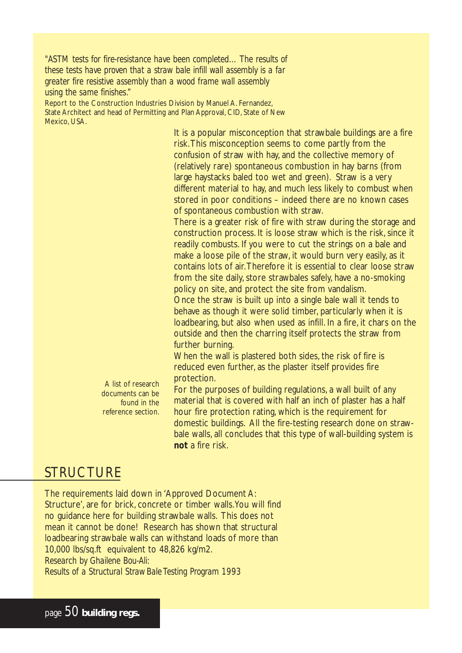*"ASTM tests for fire-resistance have been completed… The results of these tests have proven that a straw bale infill wall assembly is a far greater fire resistive assembly than a wood frame wall assembly using the same finishes."*

Report to the Construction Industries Division by Manuel A. Fernandez, State Architect and head of Permitting and Plan Approval, CID, State of New Mexico, USA.

> It is a popular misconception that strawbale buildings are a fire risk.This misconception seems to come partly from the confusion of straw with hay, and the collective memory of (relatively rare) spontaneous combustion in hay barns (from large haystacks baled too wet and green). Straw is a very different material to hay, and much less likely to combust when stored in poor conditions – indeed there are no known cases of spontaneous combustion with straw.

There is a greater risk of fire with straw during the storage and construction process. It is loose straw which is the risk, since it readily combusts. If you were to cut the strings on a bale and make a loose pile of the straw, it would burn very easily, as it contains lots of air.Therefore it is essential to clear loose straw from the site daily, store strawbales safely, have a no-smoking policy on site, and protect the site from vandalism.

Once the straw is built up into a single bale wall it tends to behave as though it were solid timber, particularly when it is loadbearing, but also when used as infill. In a fire, it chars on the outside and then the charring itself protects the straw from further burning.

When the wall is plastered both sides, the risk of fire is reduced even further, as the plaster itself provides fire protection.

For the purposes of building regulations, a wall built of *any* material that is covered with half an inch of plaster has a half hour fire protection rating, which is the requirement for domestic buildings. All the fire-testing research done on strawbale walls, all concludes that this type of wall-building system is *not* a fire risk.

#### A list of research documents can be found in the reference section.

# **STRUCTURE**

The requirements laid down in 'Approved Document A: Structure', are for brick, concrete or timber walls.You will find no guidance here for building strawbale walls. This does not mean it cannot be done! Research has shown that structural loadbearing strawbale walls can withstand loads of more than 10,000 lbs/sq.ft equivalent to 48,826 kg/m2. *Research by Ghailene Bou-Ali: Results of a Structural Straw Bale Testing Program 1993*

page 50 **building regs.**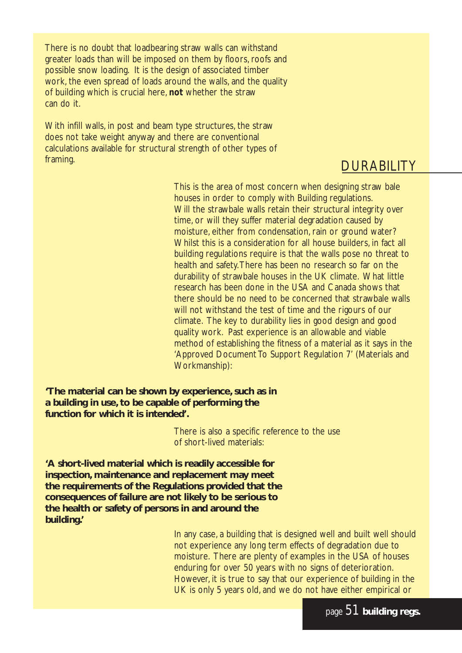There is no doubt that loadbearing straw walls can withstand greater loads than will be imposed on them by floors, roofs and possible snow loading. It is the design of associated timber work, the even spread of loads around the walls, and the quality of building which is crucial here, *not* whether the straw can do it.

With infill walls, in post and beam type structures, the straw does not take weight anyway and there are conventional calculations available for structural strength of other types of **framing.** DURABILITY

This is the area of most concern when designing straw bale houses in order to comply with Building regulations. Will the strawbale walls retain their structural integrity over time, or will they suffer material degradation caused by moisture, either from condensation, rain or ground water? Whilst this is a consideration for all house builders, in fact all building regulations require is that the walls pose no threat to health and safety.There has been no research so far on the durability of strawbale houses in the UK climate. What little research has been done in the USA and Canada shows that there should be no *need* to be concerned that strawbale walls will not withstand the test of time and the rigours of our climate. The key to durability lies in good design and good quality work. Past experience is an allowable and viable method of establishing the fitness of a material as it says in the 'Approved Document To Support Regulation 7' (Materials and Workmanship):

**'The material can be shown by experience, such as in a building in use, to be capable of performing the function for which it is intended'.**

> There is also a specific reference to the use of short-lived materials:

**'A short-lived material which is readily accessible for inspection, maintenance and replacement may meet the requirements of the Regulations provided that the consequences of failure are not likely to be serious to the health or safety of persons in and around the building.'**

> In any case, a building that is designed well and built well should not experience any long term effects of degradation due to moisture. There are plenty of examples in the USA of houses enduring for over 50 years with no signs of deterioration. However, it is true to say that our experience of building in the UK is only 5 years old, and we do not have either empirical or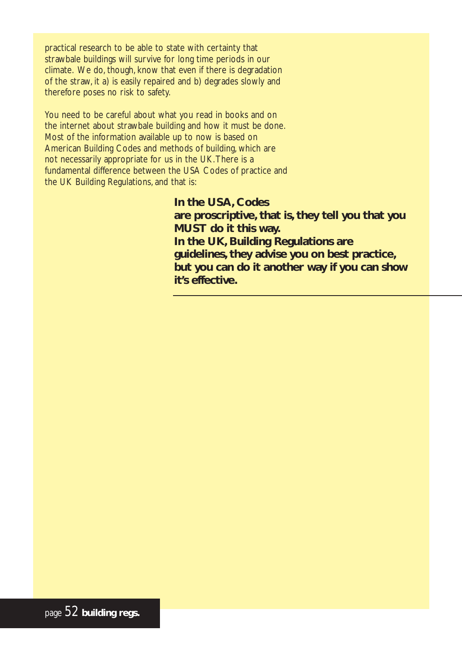practical research to be able to state with certainty that strawbale buildings will survive for long time periods in our climate. We do, though, know that even if there is degradation of the straw, it a) is easily repaired and b) degrades slowly and therefore poses no risk to safety.

You need to be careful about what you read in books and on the internet about strawbale building and how it must be done. Most of the information available up to now is based on American Building Codes and methods of building, which are not necessarily appropriate for us in the UK.There is a fundamental difference between the USA Codes of practice and the UK Building Regulations, and that is:

> **In the USA, Codes are proscriptive, that is, they tell you that you MUST do it this way. In the UK, Building Regulations are guidelines, they advise you on best practice, but you can do it another way if you can show it's effective.**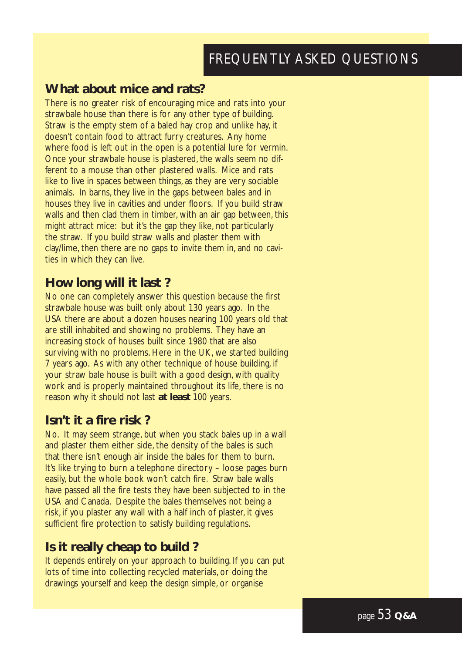### **What about mice and rats?**

There is no greater risk of encouraging mice and rats into your strawbale house than there is for any other type of building. Straw is the empty stem of a baled hay crop and unlike hay, it doesn't contain food to attract furry creatures. Any home where food is left out in the open is a potential lure for vermin. Once your strawbale house is plastered, the walls seem no different to a mouse than other plastered walls. Mice and rats like to live in spaces between things, as they are very sociable animals. In barns, they live in the gaps between bales and in houses they live in cavities and under floors. If you build straw walls and then clad them in timber, with an air gap between, this might attract mice: but it's the gap they like, not particularly the straw. If you build straw walls and plaster them with clay/lime, then there are no gaps to invite them in, and no cavities in which they can live.

### **How long will it last ?**

No one can completely answer this question because the first strawbale house was built only about 130 years ago. In the USA there are about a dozen houses nearing 100 years old that are still inhabited and showing no problems. They have an increasing stock of houses built since 1980 that are also surviving with no problems. Here in the UK, we started building 7 years ago. As with any other technique of house building, if your straw bale house is built with a good design, with quality work and is properly maintained throughout its life, there is no reason why it should not last **at least** 100 years.

### **Isn't it a fire risk ?**

No. It may seem strange, but when you stack bales up in a wall and plaster them either side, the density of the bales is such that there isn't enough air inside the bales for them to burn. It's like trying to burn a telephone directory – loose pages burn easily, but the whole book won't catch fire. Straw bale walls have passed all the fire tests they have been subjected to in the USA and Canada. Despite the bales themselves not being a risk, if you plaster any wall with a half inch of plaster, it gives sufficient fire protection to satisfy building regulations.

### **Is it really cheap to build ?**

It depends entirely on your approach to building. If you can put lots of time into collecting recycled materials, or doing the drawings yourself and keep the design simple, or organise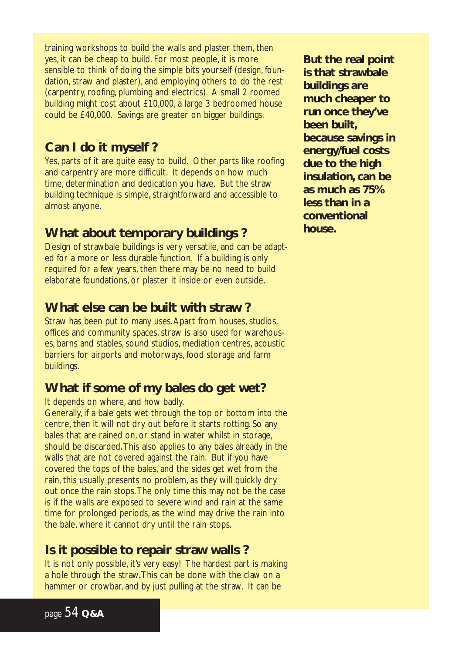training workshops to build the walls and plaster them, then yes, it can be cheap to build. For most people, it is more sensible to think of doing the simple bits yourself (design, foundation, straw and plaster), and employing others to do the rest (carpentry, roofing, plumbing and electrics). A small 2 roomed building might cost about £10,000, a large 3 bedroomed house could be £40,000. Savings are greater on bigger buildings.

### **Can I do it myself ?**

Yes, parts of it are quite easy to build. Other parts like roofing and carpentry are more difficult. It depends on how much time, determination and dedication you have. But the straw building technique is simple, straightforward and accessible to almost anyone.

## **What about temporary buildings ?**

Design of strawbale buildings is very versatile, and can be adapted for a more or less durable function. If a building is only required for a few years, then there may be no need to build elaborate foundations, or plaster it inside or even outside.

### **What else can be built with straw ?**

Straw has been put to many uses.Apart from houses, studios, offices and community spaces, straw is also used for warehouses, barns and stables, sound studios, mediation centres, acoustic barriers for airports and motorways, food storage and farm buildings.

### **What if some of my bales do get wet?**

It depends on where, and how badly.

Generally, if a bale gets wet through the top or bottom into the centre, then it will not dry out before it starts rotting. So any bales that are rained on, or stand in water whilst in storage, should be discarded.This also applies to any bales already in the walls that are not covered against the rain. But if you have covered the tops of the bales, and the sides get wet from the rain, this usually presents no problem, as they will quickly dry out once the rain stops.The only time this may not be the case is if the walls are exposed to severe wind and rain at the same time for prolonged periods, as the wind may drive the rain into the bale, where it cannot dry until the rain stops.

### **Is it possible to repair straw walls ?**

It is not only possible, it's very easy! The hardest part is making a hole through the straw.This can be done with the claw on a hammer or crowbar, and by just pulling at the straw. It can be

**But the real point is that strawbale buildings are much cheaper to run once they've been built, because savings in energy/fuel costs due to the high insulation, can be as much as 75% less than in a conventional house.**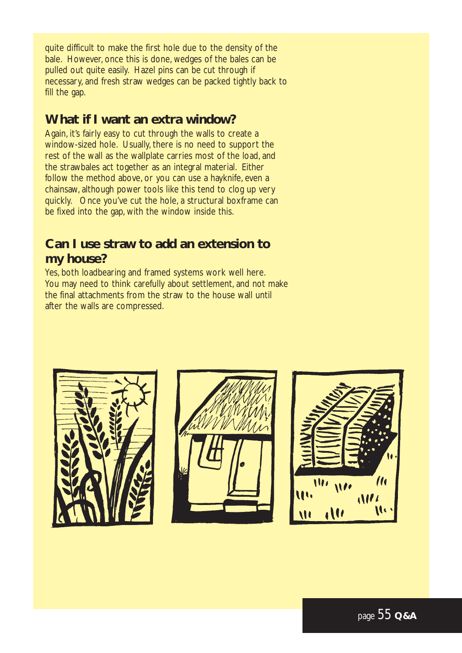quite difficult to make the first hole due to the density of the bale. However, once this is done, wedges of the bales can be pulled out quite easily. Hazel pins can be cut through if necessary, and fresh straw wedges can be packed tightly back to fill the gap.

### **What if I want an extra window?**

Again, it's fairly easy to cut through the walls to create a window-sized hole. Usually, there is no need to support the rest of the wall as the wallplate carries most of the load, and the strawbales act together as an integral material. Either follow the method above, or you can use a hayknife, even a chainsaw, although power tools like this tend to clog up very quickly. Once you've cut the hole, a structural boxframe can be fixed into the gap, with the window inside this.

## **Can I use straw to add an extension to my house?**

Yes, both loadbearing and framed systems work well here. You may need to think carefully about settlement, and not make the final attachments from the straw to the house wall until after the walls are compressed.





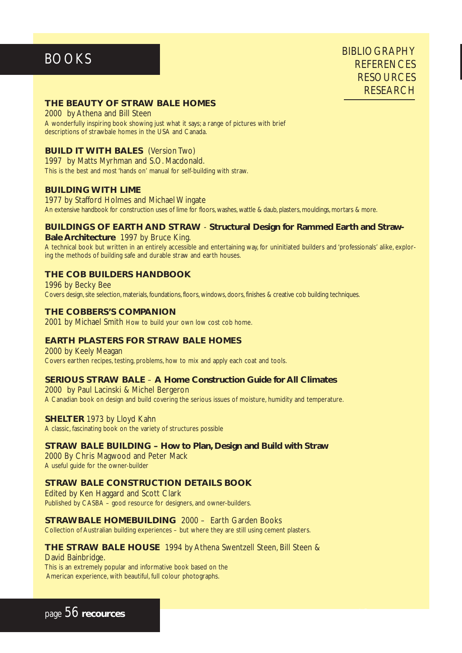# BOOKS

#### **THE BEAUTY OF STRAW BALE HOMES**

2000 by Athena and Bill Steen

A wonderfully inspiring book showing just what it says; a range of pictures with brief descriptions of strawbale homes in the USA and Canada.

#### **BUILD IT WITH BALES** (Version Two)

1997 by Matts Myrhman and S.O. Macdonald. This is the best and most 'hands on' manual for self-building with straw.

#### **BUILDING WITH LIME**

1977 by Stafford Holmes and Michael Wingate An extensive handbook for construction uses of lime for floors, washes, wattle & daub, plasters, mouldings, mortars & more.

#### **BUILDINGS OF EARTH AND STRAW** - **Structural Design for Rammed Earth and Straw-**

**Bale Architecture** 1997 by Bruce King.

A technical book but written in an entirely accessible and entertaining way, for uninitiated builders and 'professionals' alike, exploring the methods of building safe and durable straw and earth houses.

#### **THE COB BUILDERS HANDBOOK**

1996 by Becky Bee Covers design, site selection, materials, foundations, floors, windows, doors, finishes & creative cob building techniques.

#### **THE COBBERS'S COMPANION**

2001 by Michael Smith How to build your own low cost cob home.

#### **EARTH PLASTERS FOR STRAW BALE HOMES**

2000 by Keely Meagan Covers earthen recipes, testing, problems, how to mix and apply each coat and tools.

#### **SERIOUS STRAW BALE** – **A Home Construction Guide for All Climates**

2000 by Paul Lacinski & Michel Bergeron A Canadian book on design and build covering the serious issues of moisture, humidity and temperature.

**SHELTER** 1973 by Lloyd Kahn A classic, fascinating book on the variety of structures possible

#### **STRAW BALE BUILDING – How to Plan, Design and Build with Straw**

2000 By Chris Magwood and Peter Mack A useful guide for the owner-builder

#### **STRAW BALE CONSTRUCTION DETAILS BOOK**

Edited by Ken Haggard and Scott Clark Published by CASBA – good resource for designers, and owner-builders.

#### **STRAWBALE HOMEBUILDING** 2000 – Earth Garden Books

Collection of Australian building experiences – but where they are still using cement plasters.

#### **THE STRAW BALE HOUSE** 1994 by Athena Swentzell Steen, Bill Steen &

#### David Bainbridge.

This is an extremely popular and informative book based on the American experience, with beautiful, full colour photographs.

page 56 **recources** page 48 **references**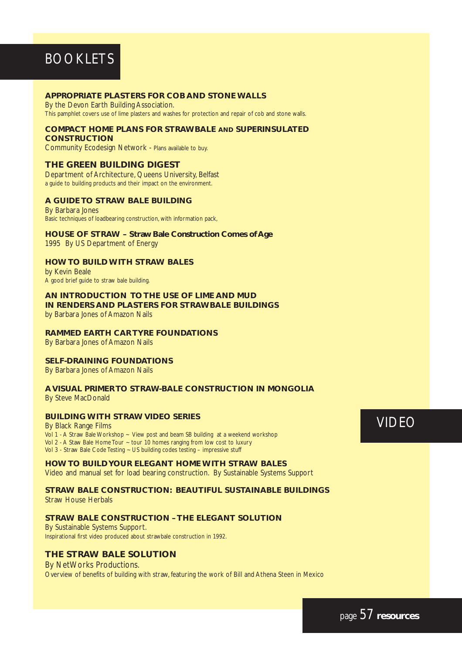# BOOKLETS

#### **APPROPRIATE PLASTERS FOR COB AND STONE WALLS**

By the Devon Earth Building Association. This pamphlet covers use of lime plasters and washes for protection and repair of cob and stone walls.

#### **COMPACT HOME PLANS FOR STRAWBALE AND SUPERINSULATED CONSTRUCTION**

Community Ecodesign Network - Plans available to buy.

#### **THE GREEN BUILDING DIGEST**

Department of Architecture, Queens University, Belfast a guide to building products and their impact on the environment.

#### **A GUIDE TO STRAW BALE BUILDING**

By Barbara Jones Basic techniques of loadbearing construction, with information pack,

#### **HOUSE OF STRAW – Straw Bale Construction Comes of Age**  1995 By US Department of Energy

**HOW TO BUILD WITH STRAW BALES**  by Kevin Beale

A good brief guide to straw bale building.

**AN INTRODUCTION TO THE USE OF LIME AND MUD IN RENDERS AND PLASTERS FOR STRAWBALE BUILDINGS**  by Barbara Jones of Amazon Nails

#### **RAMMED EARTH CAR TYRE FOUNDATIONS**

By Barbara Jones of Amazon Nails

#### **SELF-DRAINING FOUNDATIONS**

By Barbara Jones of Amazon Nails

#### **A VISUAL PRIMER TO STRAW-BALE CONSTRUCTION IN MONGOLIA** By Steve MacDonald

#### **BUILDING WITH STRAW VIDEO SERIES**

By Black Range Films Vol 1 - A Straw Bale Workshop ~ View post and beam SB building at a weekend workshop Vol 2 - A Staw Bale Home Tour ~ tour 10 homes ranging from low cost to luxury Vol 3 - Straw Bale Code Testing ~ US building codes testing – impressive stuff

**HOW TO BUILD YOUR ELEGANT HOME WITH STRAW BALES** Video and manual set for load bearing construction. By Sustainable Systems Support

#### **STRAW BALE CONSTRUCTION: BEAUTIFUL SUSTAINABLE BUILDINGS**

Straw House Herbals

#### **STRAW BALE CONSTRUCTION – THE ELEGANT SOLUTION**

By Sustainable Systems Support. Inspirational first video produced about strawbale construction in 1992.

#### **THE STRAW BALE SOLUTION**

#### By NetWorks Productions.

Overview of benefits of building with straw, featuring the work of Bill and Athena Steen in Mexico

# VIDEO

page 57 **resources**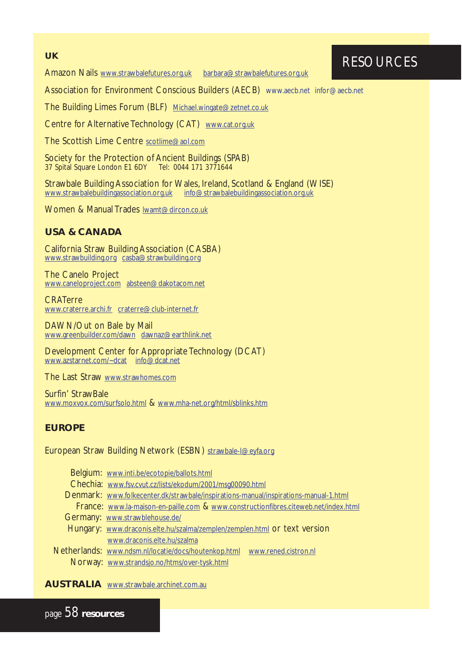#### **UK**

Amazon Nails [www.strawbalefutures.org.uk](http://www.strawbalefutures.org.uk) [barbara@strawbalefutures.org.uk](mailto: barbara@strawbalefutures.org.uk)

Association for Environment Conscious Builders (AECB) [www.aecb.net](http://www.aecb.net) [infor@aecb.net](mailto:infor@aecb.net)

RESOURCES

The Building Limes Forum (BLF) <Michael.wingate@zetnet.co.uk>

Centre for Alternative Technology (CAT) [www.cat.org.uk](http://www.cat.org.uk)

The Scottish Lime Centre [scotlime@aol.com](mailto: scotlime@aol.com)

Society for the Protection of Ancient Buildings (SPAB) 37 Spital Square London E1 6DY Tel: 0044 171 3771644

Strawbale Building Association for Wales, Ireland, Scotland & England (WISE) [www.strawbalebuildingassociation.org.uk](http://www.strawbalebuildingassociation.org.uk) [info@strawbalebuildingassociation.org.uk](mailto: info@strawbalebuildingassociation.org.uk)

Women & Manual Trades **Iwamt@dircon.co.uk** 

#### **USA & CANADA**

California Straw Building Association (CASBA) [www.strawbuilding.org](http://www.strawbuilding.org) [casba@strawbuilding.org](mailto: casba@strawbuilding.org)

The Canelo Project [www.caneloproject.com](http://www.caneloproject.com) [absteen@dakotacom.net](mailto: absteen@dakotacom.net)

**CRATerre** [www.craterre.archi.fr](http://www.craterre.archi.fr) [craterre@club-internet.fr](mailto: craterre@club-internet.fr)

DAWN/Out on Bale by Mail [www.greenbuilder.com/dawn](http://www.greenbuilder.com/dawn) [dawnaz@earthlink.net](mailto: dawnaz@earthlink.net)

Development Center for Appropriate Technology (DCAT) [www.azstarnet.com/~dcat](http://www.azstarnet.com/~dcat) [info@dcat.net](mailto: info@dcat.net)

The Last Straw [www.strawhomes.com](http://www.strawhomes.com)

Surfin' StrawBale [www.moxvox.com/surfsolo.html](http://www.moxvox.com/surfsolo.html) & [www.mha-net.org/html/sblinks.htm](http://www.mha-net.org/html/sblinks.htm)

#### **EUROPE**

European Straw Building Network (ESBN) [strawbale-l@eyfa.org](mailto: strawbale-l@eyfa.org)

| Belgium: www.inti.be/ecotopie/ballots.html                                           |
|--------------------------------------------------------------------------------------|
| Chechia: www.fsv.cvut.cz/lists/ekodum/2001/msg00090.html                             |
| Denmark: www.folkecenter.dk/strawbale/inspirations-manual/inspirations-manual-1.html |
| France: www.la-maison-en-paille.com & www.constructionfibres.citeweb.net/index.html  |
| Germany: www.strawblehouse.de/                                                       |
| Hungary: www.draconis.elte.hu/szalma/zemplen/zemplen.html or text version            |
| www.draconis.elte.hu/szalma                                                          |
| Netherlands: www.ndsm.nl/locatie/docs/houtenkop.html www.rened.cistron.nl            |
| Norway: www.strandsjo.no/htms/over-tysk.html                                         |

**AUSTRALIA** [www.strawbale.archinet.com.au](http://www.strawbale.archinet.com.au)

page 58 **resources**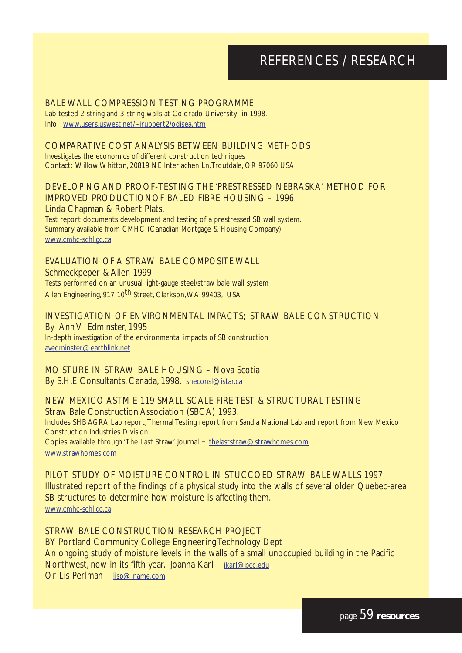# REFERENCES / RESEARCH

BALE WALL COMPRESSION TESTING PROGRAMME Lab-tested 2-string and 3-string walls at Colorado University in 1998. Info: [www.users.uswest.net/~jruppert2/odisea.htm](http://www.users.uswest.net/~jruppert2/odisea.htm)

#### COMPARATIVE COST ANALYSIS BETWEEN BUILDING METHODS

Investigates the economics of different construction techniques Contact: Willow Whitton, 20819 NE Interlachen Ln,Troutdale, OR 97060 USA

DEVELOPING AND PROOF-TESTING THE 'PRESTRESSED NEBRASKA' METHOD FOR IMPROVED PRODUCTIONOF BALED FIBRE HOUSING – 1996 Linda Chapman & Robert Plats. Test report documents development and testing of a prestressed SB wall system. Summary available from CMHC (Canadian Mortgage & Housing Company) [www.cmhc-schl.gc.ca](http://www.cmhc-schl.gc.ca)

EVALUATION OF A STRAW BALE COMPOSITE WALL Schmeckpeper & Allen 1999 Tests performed on an unusual light-gauge steel/straw bale wall system Allen Engineering, 917 10<sup>th</sup> Street, Clarkson, WA 99403, USA

INVESTIGATION OF ENVIRONMENTAL IMPACTS; STRAW BALE CONSTRUCTION By Ann V Edminster, 1995 In-depth investigation of the environmental impacts of SB construction [avedminster@earthlink.net](mailto: avedminster@earthlink.net)

MOISTURE IN STRAW BALE HOUSING – Nova Scotia By S.H.E Consultants, Canada, 1998. [sheconsl@istar.ca](mailto: sheconsl@istar.ca)

NEW MEXICO ASTM E-119 SMALL SCALE FIRE TEST & STRUCTURAL TESTING Straw Bale Construction Association (SBCA) 1993. Includes SHB AGRA Lab report,Thermal Testing report from Sandia National Lab and report from New Mexico Construction Industries Division Copies available through 'The Last Straw' Journal [– thelaststraw@strawhomes.com](mailto: thelaststraw@strawhomes.com) [www.strawhomes.com](http://www.strawhomes.com)

PILOT STUDY OF MOISTURE CONTROL IN STUCCOED STRAW BALE WALLS 1997 Illustrated report of the findings of a physical study into the walls of several older Quebec-area SB structures to determine how moisture is affecting them. [www.cmhc-schl.gc.ca](http://www.cmhc-schl.gc.ca)

STRAW BALE CONSTRUCTION RESEARCH PROJECT BY Portland Community College Engineering Technology Dept An ongoing study of moisture levels in the walls of a small unoccupied building in the Pacific Northwest, now in its fifth year. Joanna Karl [– jkarl@pcc.edu](mailto: jkarl@pcc.edu) Or Lis Perlman [– lisp@iname.com](mailto: lisp@iname.com)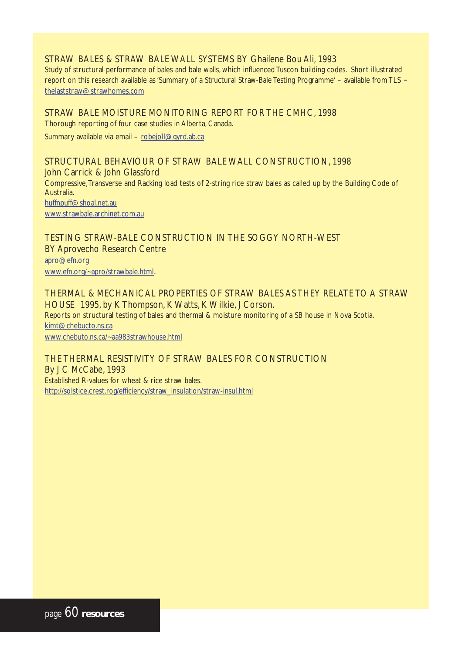STRAW BALES & STRAW BALE WALL SYSTEMS BY Ghailene Bou Ali, 1993 Study of structural performance of bales and bale walls, which influenced Tuscon building codes. Short illustrated report on this research available as 'Summary of a Structural Straw-Bale Testing Programme' – available from TLS – [thelaststraw@strawhomes.com](mailto: thelaststraw@strawhomes.com)

STRAW BALE MOISTURE MONITORING REPORT FOR THE CMHC, 1998 Thorough reporting of four case studies in Alberta, Canada. Summary available via email – [robejoll@gyrd.ab.ca](mailto: robejoll@gyrd.ab.ca)

STRUCTURAL BEHAVIOUR OF STRAW BALE WALL CONSTRUCTION, 1998 John Carrick & John Glassford Compressive,Transverse and Racking load tests of 2-string rice straw bales as called up by the Building Code of

Australia. [huffnpuff@shoal.net.au](mailto: huffnpuff@shoal.net.au)

[www.strawbale.archinet.com.au](http://www.strawbale.archinet.com.au)

TESTING STRAW-BALE CONSTRUCTION IN THE SOGGY NORTH-WEST BY Aprovecho Research Centre [apro@efn.org](mailto: apro@efn.org) [www.efn.org/~apro/strawbale.html.](http://www.efn.org/~apro/strawbale.html)

THERMAL & MECHANICAL PROPERTIES OF STRAW BALES AS THEY RELATE TO A STRAW HOUSE 1995, by K Thompson, K Watts, K Wilkie, J Corson. Reports on structural testing of bales and thermal & moisture monitoring of a SB house in Nova Scotia. [kimt@chebucto.ns.ca](mailto: kimt@chebucto.ns.ca) [www.chebuto.ns.ca/~aa983strawhouse.html](http://www.chebuto.ns.ca/~aa983strawhouse.html)

THE THERMAL RESISTIVITY OF STRAW BALES FOR CONSTRUCTION By J C McCabe, 1993 Established R-values for wheat & rice straw bales. [http://solstice.crest.rog/efficiency/straw\\_insulation/straw-insul.html](http://solstice.crest.rog/efficiency/straw_insulation/straw-insul.html)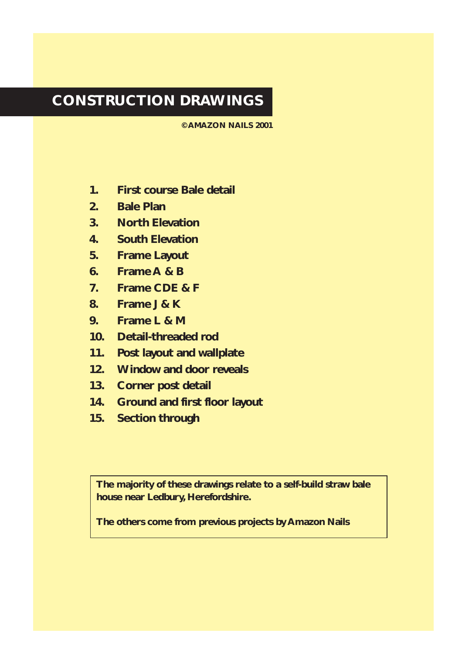# **CONSTRUCTION DRAWINGS**

**© AMAZON NAILS 2001**

- **[1. First course Bale detail](#page-63-0)**
- **[2. Bale Plan](#page-64-0)**
- **[3. North Elevation](#page-65-0)**
- **[4. South Elevation](#page-66-0)**
- **[5. Frame Layout](#page-67-0)**
- **[6. Frame A & B](#page-68-0)**
- **[7. Frame CDE & F](#page-69-0)**
- **[8. Frame J & K](#page-70-0)**
- **[9. Frame L & M](#page-71-0)**
- **[10. Detail-threaded rod](#page-72-0)**
- **[11. Post layout and wallplate](#page-73-0)**
- **[12. Window and door reveals](#page-74-0)**
- **[13. Corner post detail](#page-75-0)**
- **[14. Ground and first floor layout](#page-76-0)**
- **[15. Section through](#page-77-0)**

**The majority of these drawings relate to a self-build straw bale house near Ledbury, Herefordshire.**

**The others come from previous projects by Amazon Nails**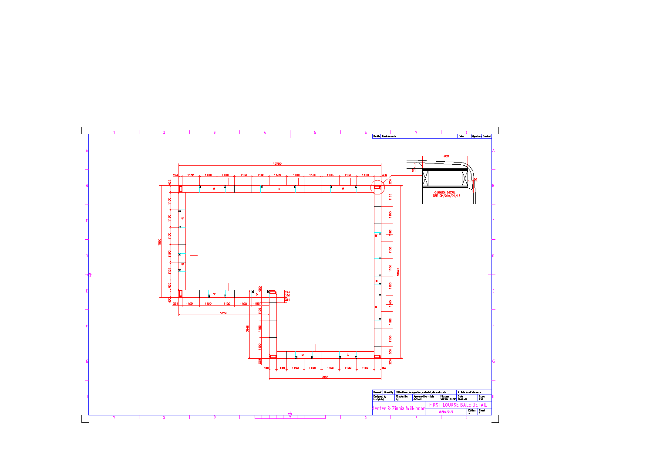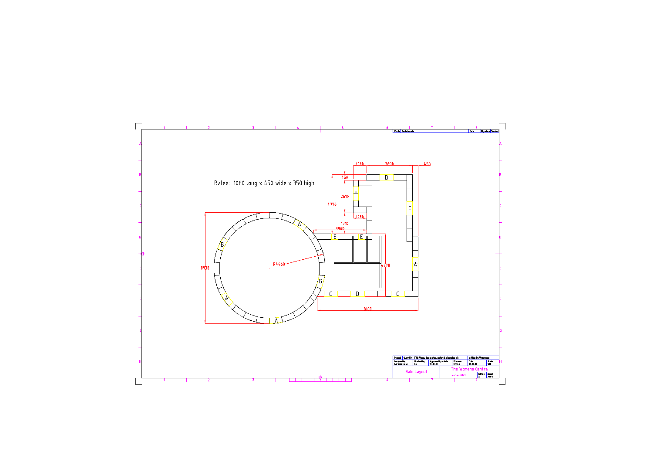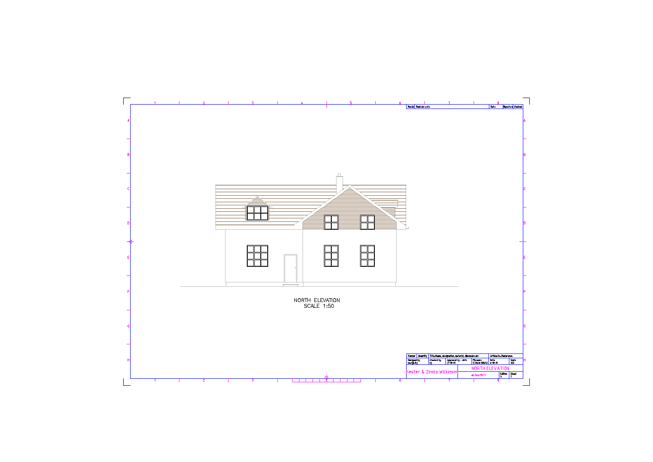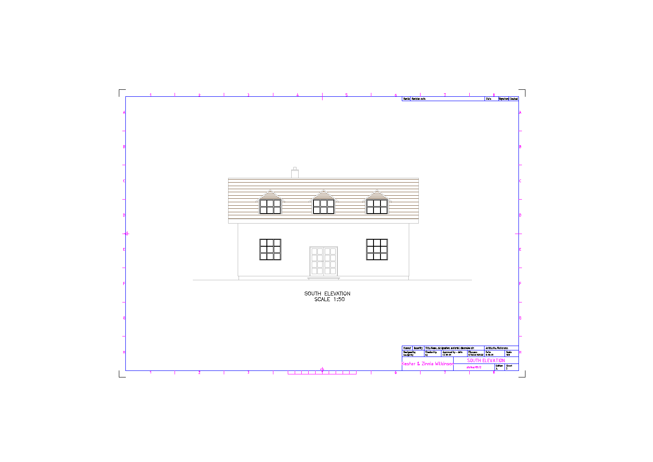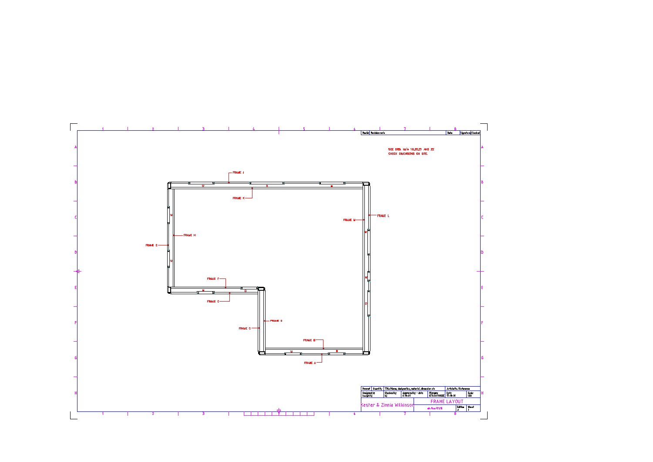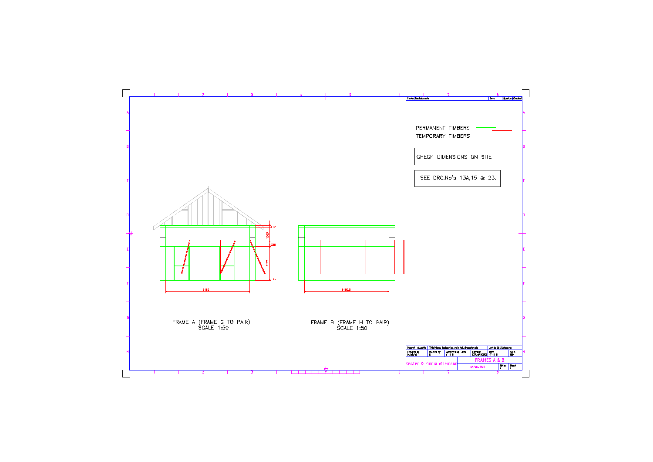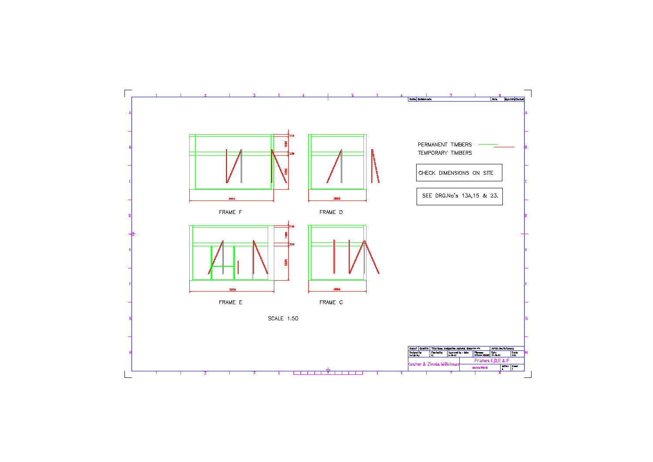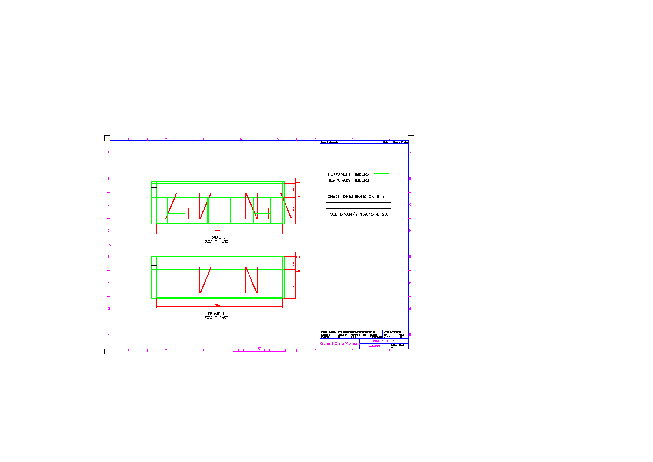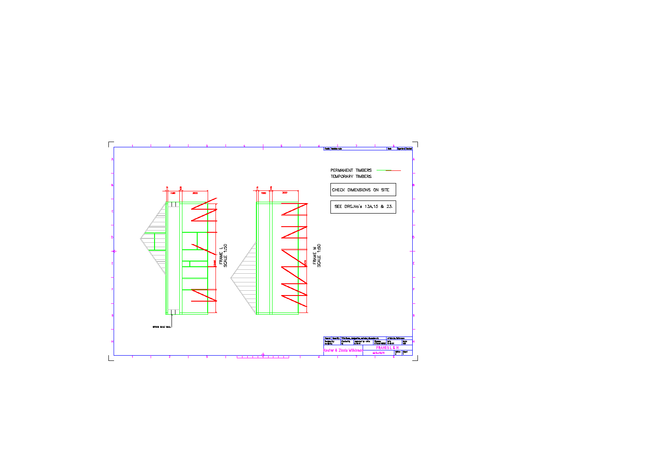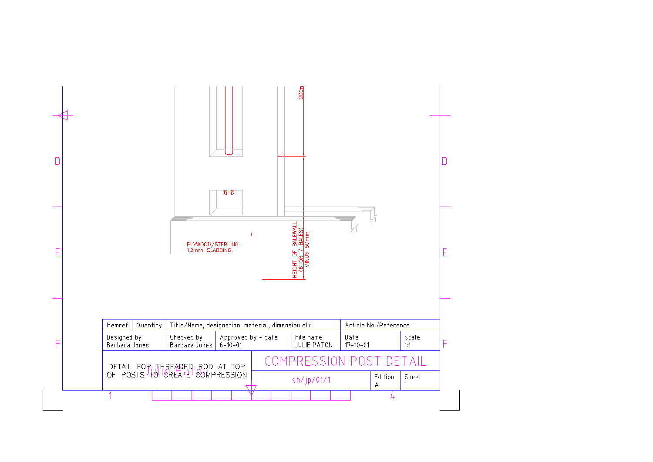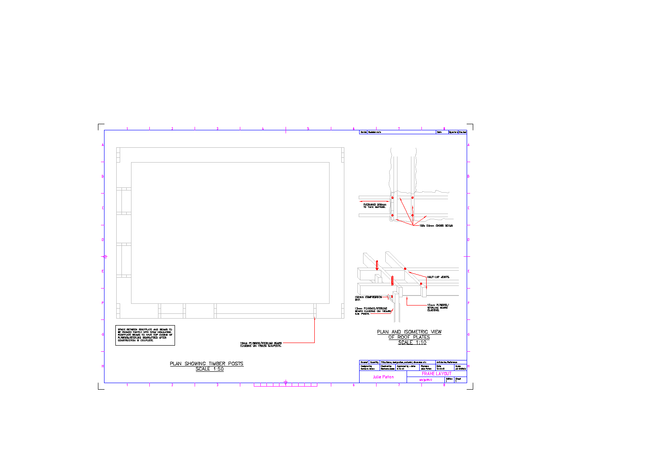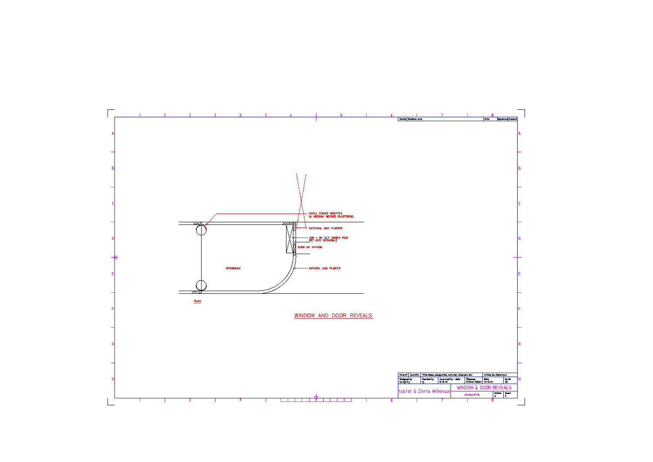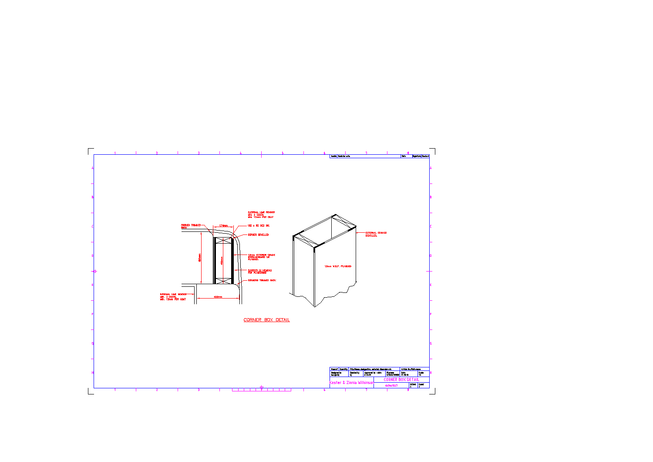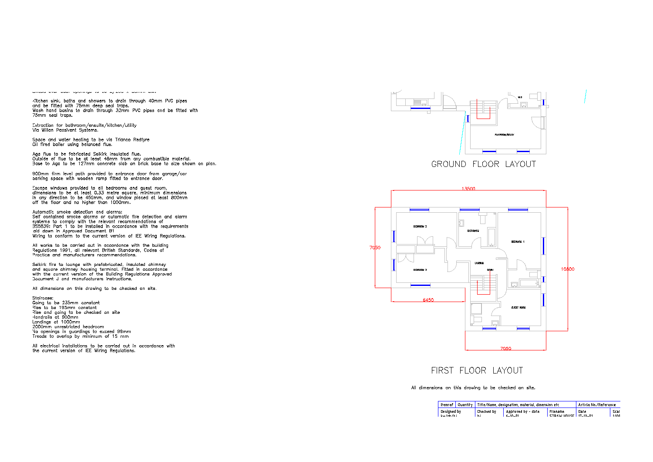contain area door operango to be kykoo w doman dimi

<itchen sink, baths and showers to drain through 40mm PVC pipes<br>and be fitted with 75mm deep seal traps. Wash hand basins to drain through 32mm PVC pipes and be fitted with 75mm seal traps.

Extraction for bathroom/ensuite/kitchen/utility Via Willan Passivent Systems.

Space and water heating to be via Trianco Redfyre Oil fired boiler using balanced flue.

Aga flue to be fabricated Selkirk insulated flue. Outside of flue to be at least 48mm from any combustible material. Base to Aga to be 127mm concrete slab on brick base to size shown on plan.

900mm firm level path provided to entrance door from garage/car parking space with wooden ramp fitted to entrance door.

Escape windows provided to all bedrooms and quest room. dimensions to be at least 0.33 metre square, minimum dimensions in any direction to be 450mm, and window placed at least 800mm off the floor and no higher than 1000mm.

Automatic smoke detection and alarms: Self contained smoke alarms or automatic fire detection and alarm systems to comply with the relevant recommendations of 3S5839: Part 1 to be installed in accordance with the requirements aid down in Approved Document B1 Wiring to conform to the current version of IEE Wiring Regulations.

All works to be carried out in accordance with the building Regulations 1991, all relevant British Standards, Codes of Practice and manufacturers recommendations.

Selkirk fire to lounge with prefabricated, insulated chimney and square chimney housing terminal. Fitted in accordance with the current version of the Building Regulations Approved Document J and manufacturers instructions.

All dimensions on this drawing to be checked on site.

Staircase:

Going to be 235mm constant Rise to be 195mm constant Rise and going to be checked on site<br>Handrails at 900mm Landings at 1000mm 2000mm unrestricted headroom Vo openings in quardings to exceed 99mm Treads to overlap by minimum of 15 mm

All electrical installations to be carried out in accordance with<br>the current version of IEE Wiring Regulations.



## GROUND FLOOR LAYOUT



## FIRST FLOOR LAYOUT

All dimensions on this drawing to be checked on site.

|                                    |  | Itemnef Quantity Title/Name designation material dimension etc |                                     |                                                 | Article No./Reference |               |
|------------------------------------|--|----------------------------------------------------------------|-------------------------------------|-------------------------------------------------|-----------------------|---------------|
| Designed by<br><b>Lui</b> tabilità |  | Checked by<br>h.                                               | Approved by - date<br>$6 - 10 - 01$ | <sup>1</sup> Filename<br>$CTDAW HOICE$ 17.10.01 | Date                  | Scal<br>1.101 |